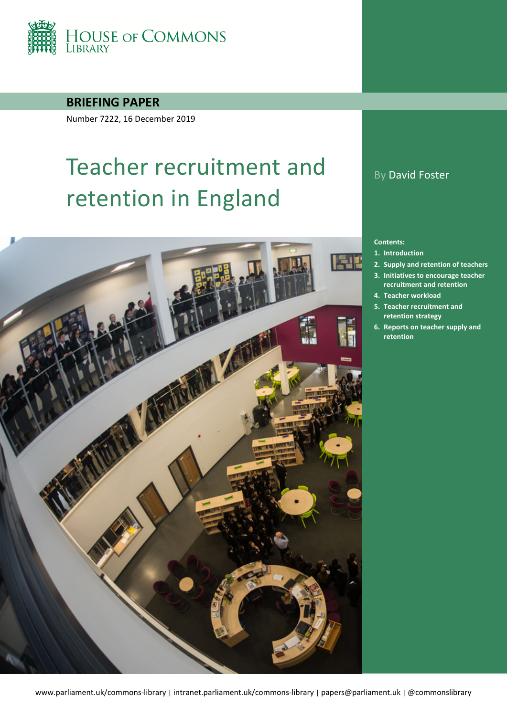

**BRIEFING PAPER**

Number 7222, 16 December 2019

# Teacher recruitment and retention in England



## By David Foster

#### **Contents:**

- **1. [Introduction](#page-4-0)**
- **2. [Supply and retention of teachers](#page-6-0)**
- **3. Initiatives [to encourage teacher](#page-14-0)**
- **[recruitment and retention](#page-14-0)**
- **4. [Teacher workload](#page-18-0)**
- **5. [Teacher recruitment and](#page-21-0)  [retention strategy](#page-21-0)**
- **6. [Reports on teacher supply and](#page-28-0)  [retention](#page-28-0)**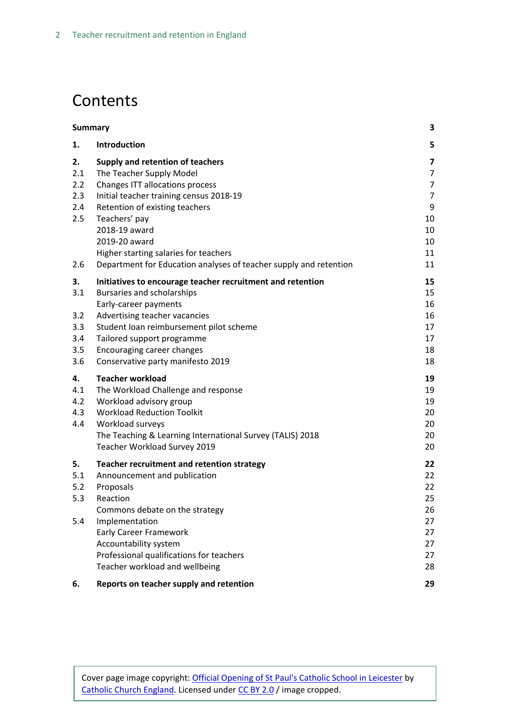## **Contents**

| <b>Summary</b>                  |                                                                                                                                                                                                                                                 | 3                                      |
|---------------------------------|-------------------------------------------------------------------------------------------------------------------------------------------------------------------------------------------------------------------------------------------------|----------------------------------------|
| 1.                              | Introduction                                                                                                                                                                                                                                    | 5                                      |
| 2.<br>2.1<br>2.2                | Supply and retention of teachers<br>The Teacher Supply Model<br>Changes ITT allocations process                                                                                                                                                 | 7<br>7<br>$\overline{7}$               |
| 2.3<br>2.4<br>2.5               | Initial teacher training census 2018-19<br>Retention of existing teachers<br>Teachers' pay                                                                                                                                                      | $\overline{7}$<br>9<br>10              |
| 2.6                             | 2018-19 award<br>2019-20 award<br>Higher starting salaries for teachers<br>Department for Education analyses of teacher supply and retention                                                                                                    | 10<br>10<br>11<br>11                   |
| 3.<br>3.1                       | Initiatives to encourage teacher recruitment and retention<br>Bursaries and scholarships<br>Early-career payments                                                                                                                               | 15<br>15<br>16                         |
| 3.2<br>3.3<br>3.4<br>3.5<br>3.6 | Advertising teacher vacancies<br>Student loan reimbursement pilot scheme<br>Tailored support programme<br>Encouraging career changes<br>Conservative party manifesto 2019                                                                       | 16<br>17<br>17<br>18<br>18             |
| 4.<br>4.1<br>4.2<br>4.3<br>4.4  | <b>Teacher workload</b><br>The Workload Challenge and response<br>Workload advisory group<br><b>Workload Reduction Toolkit</b><br>Workload surveys<br>The Teaching & Learning International Survey (TALIS) 2018<br>Teacher Workload Survey 2019 | 19<br>19<br>19<br>20<br>20<br>20<br>20 |
| 5.<br>5.1<br>5.2<br>5.3         | Teacher recruitment and retention strategy<br>Announcement and publication<br>Proposals<br>Reaction<br>Commons debate on the strategy                                                                                                           | 22<br>22<br>22<br>25<br>26             |
| 5.4                             | Implementation<br><b>Early Career Framework</b><br>Accountability system<br>Professional qualifications for teachers<br>Teacher workload and wellbeing                                                                                          | 27<br>27<br>27<br>27<br>28             |
| 6.                              | Reports on teacher supply and retention                                                                                                                                                                                                         | 29                                     |

Cover page image copyright: [Official Opening of St Paul's Catholic School in Leicester](https://www.flickr.com/photos/catholicism/16468633404/in/photolist-r6h3Xf-rKGV8L-s39HAw-rKFDJu-r6u43R-rKEfYG-nsTGgs-ad7xgp-9e4gXq-9uEcAJ-qrJGXJ-eepbm-6rcN13-5i9SLE-7Dkdgq-tQX4oR-mr81Y3-4kudXv-9H4VtM-gXHe1d-6Ya6wF-otXYGN-6HPwgi-7oBZwz-8eCKgN-sry38Y-6y4D85-rUtJdM-dZgc3Q-7ZMFCk-9u1Hrn-k7hLbk-87RBa8-dtZLj9-uyCEXn-a2NMC9-5RpyJF-e7gFa-4gEeri-9F5f4s-8RCnVm-pNdKo8-e5xi47-9VpaoU-9UGjcG-5qQmNL-89TAR6-dEuSpJ-quL4iA-fYs8c) by [Catholic Church England.](https://www.flickr.com/photos/catholicism/) Licensed under [CC BY 2.0](https://creativecommons.org/licenses/by-nc-sa/2.0/) / image cropped.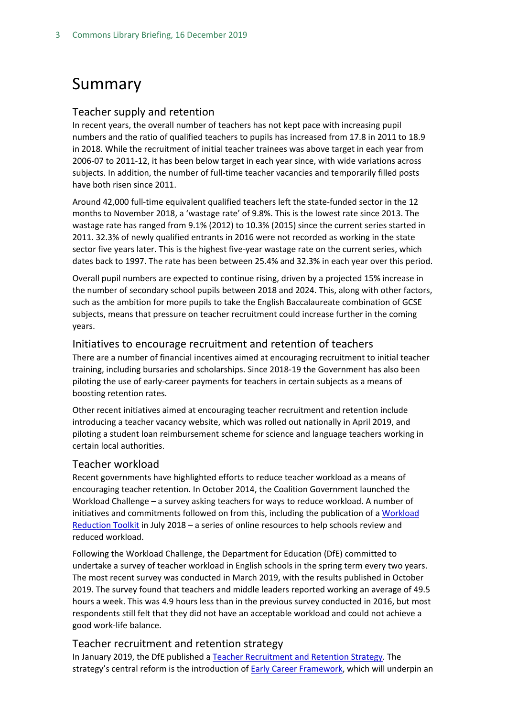## <span id="page-2-0"></span>Summary

#### Teacher supply and retention

In recent years, the overall number of teachers has not kept pace with increasing pupil numbers and the ratio of qualified teachers to pupils has increased from 17.8 in 2011 to 18.9 in 2018. While the recruitment of initial teacher trainees was above target in each year from 2006-07 to 2011-12, it has been below target in each year since, with wide variations across subjects. In addition, the number of full-time teacher vacancies and temporarily filled posts have both risen since 2011.

Around 42,000 full-time equivalent qualified teachers left the state-funded sector in the 12 months to November 2018, a 'wastage rate' of 9.8%. This is the lowest rate since 2013. The wastage rate has ranged from 9.1% (2012) to 10.3% (2015) since the current series started in 2011. 32.3% of newly qualified entrants in 2016 were not recorded as working in the state sector five years later. This is the highest five-year wastage rate on the current series, which dates back to 1997. The rate has been between 25.4% and 32.3% in each year over this period.

Overall pupil numbers are expected to continue rising, driven by a projected 15% increase in the number of secondary school pupils between 2018 and 2024. This, along with other factors, such as the ambition for more pupils to take the English Baccalaureate combination of GCSE subjects, means that pressure on teacher recruitment could increase further in the coming years.

#### Initiatives to encourage recruitment and retention of teachers

There are a number of financial incentives aimed at encouraging recruitment to initial teacher training, including bursaries and scholarships. Since 2018-19 the Government has also been piloting the use of early-career payments for teachers in certain subjects as a means of boosting retention rates.

Other recent initiatives aimed at encouraging teacher recruitment and retention include introducing a teacher vacancy website, which was rolled out nationally in April 2019, and piloting a student loan reimbursement scheme for science and language teachers working in certain local authorities.

#### Teacher workload

Recent governments have highlighted efforts to reduce teacher workload as a means of encouraging teacher retention. In October 2014, the Coalition Government launched the Workload Challenge – a survey asking teachers for ways to reduce workload. A number of initiatives and commitments followed on from this, including the publication of [a Workload](https://www.gov.uk/government/collections/workload-reduction-toolkit?utm_source=83156181-a218-46a6-9c68-3f71940a799e&utm_medium=email&utm_campaign=govuk-notifications&utm_content=immediate)  [Reduction Toolkit](https://www.gov.uk/government/collections/workload-reduction-toolkit?utm_source=83156181-a218-46a6-9c68-3f71940a799e&utm_medium=email&utm_campaign=govuk-notifications&utm_content=immediate) in July 2018 – a series of online resources to help schools review and reduced workload.

Following the Workload Challenge, the Department for Education (DfE) committed to undertake a survey of teacher workload in English schools in the spring term every two years. The most recent survey was conducted in March 2019, with the results published in October 2019. The survey found that teachers and middle leaders reported working an average of 49.5 hours a week. This was 4.9 hours less than in the previous survey conducted in 2016, but most respondents still felt that they did not have an acceptable workload and could not achieve a good work-life balance.

#### Teacher recruitment and retention strategy

In January 2019, the DfE published a [Teacher Recruitment and Retention Strategy.](https://www.gov.uk/government/publications/teacher-recruitment-and-retention-strategy) The strategy's central reform is the introduction of **Early Career Framework**, which will underpin an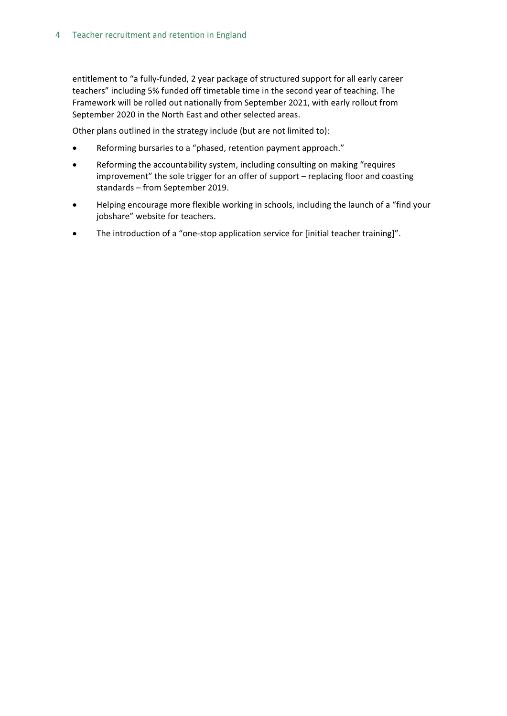entitlement to "a fully-funded, 2 year package of structured support for all early career teachers" including 5% funded off timetable time in the second year of teaching. The Framework will be rolled out nationally from September 2021, with early rollout from September 2020 in the North East and other selected areas.

Other plans outlined in the strategy include (but are not limited to):

- Reforming bursaries to a "phased, retention payment approach."
- Reforming the accountability system, including consulting on making "requires improvement" the sole trigger for an offer of support – replacing floor and coasting standards – from September 2019.
- Helping encourage more flexible working in schools, including the launch of a "find your jobshare" website for teachers.
- The introduction of a "one-stop application service for [initial teacher training]".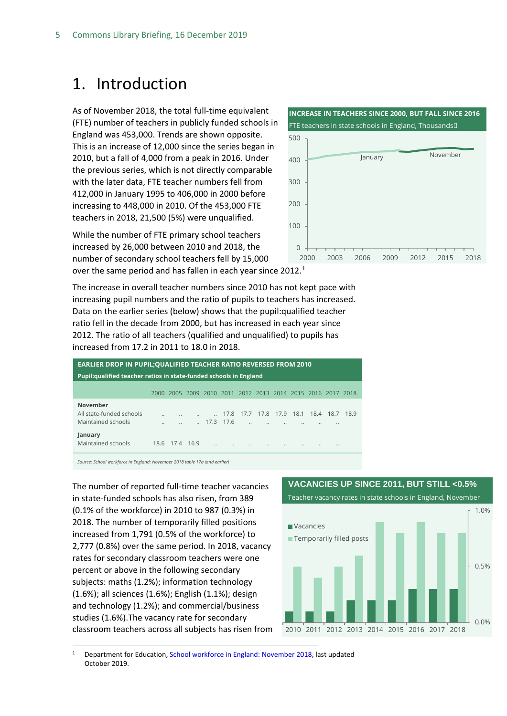## <span id="page-4-0"></span>1. Introduction

As of November 2018, the total full-time equivalent (FTE) number of teachers in publicly funded schools in England was 453,000. Trends are shown opposite. This is an increase of 12,000 since the series began in 2010, but a fall of 4,000 from a peak in 2016. Under the previous series, which is not directly comparable with the later data, FTE teacher numbers fell from 412,000 in January 1995 to 406,000 in 2000 before increasing to 448,000 in 2010. Of the 453,000 FTE teachers in 2018, 21,500 (5%) were unqualified.

While the number of FTE primary school teachers increased by 26,000 between 2010 and 2018, the number of secondary school teachers fell by 15,000 over the same period and has fallen in each year since 20[1](#page-4-1)2.<sup>1</sup>

The increase in overall teacher numbers since 2010 has not kept pace with increasing pupil numbers and the ratio of pupils to teachers has increased. Data on the earlier series (below) shows that the pupil:qualified teacher ratio fell in the decade from 2000, but has increased in each year since 2012. The ratio of all teachers (qualified and unqualified) to pupils has increased from 17.2 in 2011 to 18.0 in 2018.

| <b>EARLIER DROP IN PUPIL; QUALIFIED TEACHER RATIO REVERSED FROM 2010</b><br>Pupil: qualified teacher ratios in state-funded schools in England |                      |                |  |                        |      |                                                        |      |      |      |      |                      |      |  |
|------------------------------------------------------------------------------------------------------------------------------------------------|----------------------|----------------|--|------------------------|------|--------------------------------------------------------|------|------|------|------|----------------------|------|--|
|                                                                                                                                                | 2000.                |                |  |                        |      | 2005 2009 2010 2011 2012 2013 2014 2015 2016 2017 2018 |      |      |      |      |                      |      |  |
| November<br>All state-funded schools<br>Maintained schools                                                                                     | $\ddot{\phantom{a}}$ |                |  | $\therefore$ 17.3 17.6 | 17.8 | 17.7<br>$\ddot{\phantom{a}}$                           | 17.8 | 17.9 | 18.1 | 18.4 | 18.7<br>             | 18.9 |  |
| January<br>Maintained schools                                                                                                                  |                      | 18.6 17.4 16.9 |  |                        |      |                                                        |      |      |      |      | $\ddot{\phantom{a}}$ |      |  |

*Source: School workforce in England: November 2018 table 17a (and earlier)*

The number of reported full-time teacher vacancies in state-funded schools has also risen, from 389 (0.1% of the workforce) in 2010 to 987 (0.3%) in 2018. The number of temporarily filled positions increased from 1,791 (0.5% of the workforce) to 2,777 (0.8%) over the same period. In 2018, vacancy rates for secondary classroom teachers were one percent or above in the following secondary subjects: maths (1.2%); information technology (1.6%); all sciences (1.6%); English (1.1%); design and technology (1.2%); and commercial/business studies (1.6%).The vacancy rate for secondary classroom teachers across all subjects has risen from



<span id="page-4-1"></span><sup>1</sup> Department for Education[, School workforce in England: November 2018,](https://www.gov.uk/government/statistics/school-workforce-in-england-november-2018) last updated October 2019.

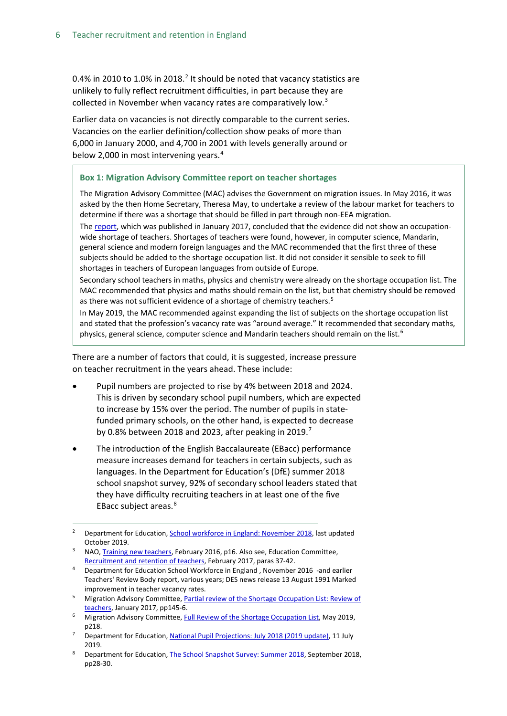0.4% in [2](#page-5-0)010 to 1.0% in 2018.<sup>2</sup> It should be noted that vacancy statistics are unlikely to fully reflect recruitment difficulties, in part because they are collected in November when vacancy rates are comparatively low.<sup>[3](#page-5-1)</sup>

Earlier data on vacancies is not directly comparable to the current series. Vacancies on the earlier definition/collection show peaks of more than 6,000 in January 2000, and 4,700 in 2001 with levels generally around or below 2,000 in most intervening years. $4$ 

#### **Box 1: Migration Advisory Committee report on teacher shortages**

The Migration Advisory Committee (MAC) advises the Government on migration issues. In May 2016, it was asked by the then Home Secretary, Theresa May, to undertake a review of the labour market for teachers to determine if there was a shortage that should be filled in part through non-EEA migration.

The [report,](https://www.gov.uk/government/uploads/system/uploads/attachment_data/file/585998/2017_01_26_MAC_report_teachers_SOL.pdf) which was published in January 2017, concluded that the evidence did not show an occupationwide shortage of teachers. Shortages of teachers were found, however, in computer science, Mandarin, general science and modern foreign languages and the MAC recommended that the first three of these subjects should be added to the shortage occupation list. It did not consider it sensible to seek to fill shortages in teachers of European languages from outside of Europe.

Secondary school teachers in maths, physics and chemistry were already on the shortage occupation list. The MAC recommended that physics and maths should remain on the list, but that chemistry should be removed as there was not sufficient evidence of a shortage of chemistry teachers.<sup>5</sup>

In May 2019, the MAC recommended against expanding the list of subjects on the shortage occupation list and stated that the profession's vacancy rate was "around average." It recommended that secondary maths, physics, general science, computer science and Mandarin teachers should remain on the list.<sup>[6](#page-5-6)</sup>

There are a number of factors that could, it is suggested, increase pressure on teacher recruitment in the years ahead. These include:

- Pupil numbers are projected to rise by 4% between 2018 and 2024. This is driven by secondary school pupil numbers, which are expected to increase by 15% over the period. The number of pupils in statefunded primary schools, on the other hand, is expected to decrease by 0.8% between 2018 and 2023, after peaking in 2019. $^7$  $^7$
- The introduction of the English Baccalaureate (EBacc) performance measure increases demand for teachers in certain subjects, such as languages. In the Department for Education's (DfE) summer 2018 school snapshot survey, 92% of secondary school leaders stated that they have difficulty recruiting teachers in at least one of the five EBacc subject areas.[8](#page-5-4)

- <span id="page-5-6"></span>Migration Advisory Committee[, Full Review of the Shortage Occupation List,](https://assets.publishing.service.gov.uk/government/uploads/system/uploads/attachment_data/file/806331/28_05_2019_Full_Review_SOL_Final_Report_1159.pdf) May 2019, p218.
- <span id="page-5-3"></span><sup>7</sup> Department for Education[, National Pupil Projections: July 2018 \(2019 update\),](https://www.gov.uk/government/statistics/national-pupil-projections-july-2018) 11 July 2019.
- <span id="page-5-4"></span><sup>8</sup> Department for Education[, The School Snapshot Survey: Summer 2018,](https://assets.publishing.service.gov.uk/government/uploads/system/uploads/attachment_data/file/773842/Summer_2018_SSS_Final_Report.pdf) September 2018, pp28-30.

<span id="page-5-0"></span><sup>&</sup>lt;sup>2</sup> Department for Education[, School workforce in England: November 2018,](https://www.gov.uk/government/statistics/school-workforce-in-england-november-2018) last updated October 2019.

<span id="page-5-1"></span><sup>&</sup>lt;sup>3</sup> NAO, Training new teachers</u>, February 2016, p16. Also see, Education Committee, [Recruitment and retention of teachers,](https://www.publications.parliament.uk/pa/cm201617/cmselect/cmeduc/199/199.pdf) February 2017, paras 37-42.

<span id="page-5-2"></span><sup>4</sup> Department for Education School Workforce in England , November 2016 -and earlier Teachers' Review Body report, various years; DES news release 13 August 1991 Marked improvement in teacher vacancy rates.

<span id="page-5-5"></span><sup>&</sup>lt;sup>5</sup> Migration Advisory Committee, Partial review of the Shortage Occupation List: Review of [teachers,](https://www.gov.uk/government/uploads/system/uploads/attachment_data/file/585998/2017_01_26_MAC_report_teachers_SOL.pdf) January 2017, pp145-6.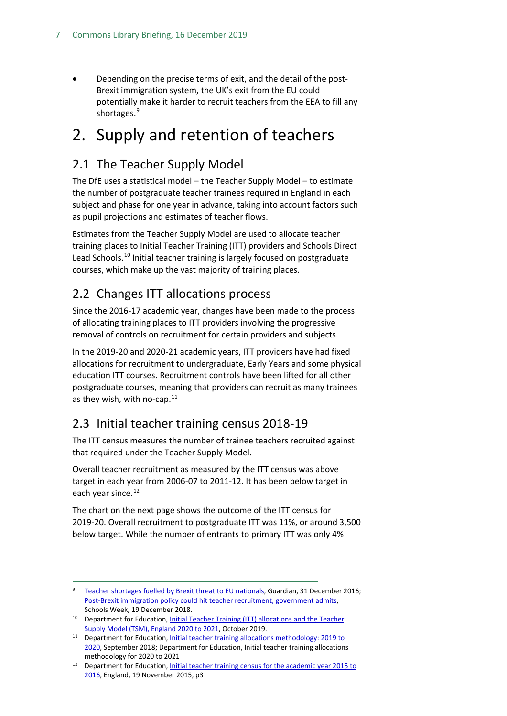• Depending on the precise terms of exit, and the detail of the post-Brexit immigration system, the UK's exit from the EU could potentially make it harder to recruit teachers from the EEA to fill any shortages.<sup>[9](#page-6-4)</sup>

## <span id="page-6-0"></span>2. Supply and retention of teachers

## <span id="page-6-1"></span>2.1 The Teacher Supply Model

The DfE uses a statistical model – the Teacher Supply Model – to estimate the number of postgraduate teacher trainees required in England in each subject and phase for one year in advance, taking into account factors such as pupil projections and estimates of teacher flows.

Estimates from the Teacher Supply Model are used to allocate teacher training places to Initial Teacher Training (ITT) providers and Schools Direct Lead Schools.<sup>[10](#page-6-5)</sup> Initial teacher training is largely focused on postgraduate courses, which make up the vast majority of training places.

## <span id="page-6-2"></span>2.2 Changes ITT allocations process

Since the 2016-17 academic year, changes have been made to the process of allocating training places to ITT providers involving the progressive removal of controls on recruitment for certain providers and subjects.

In the 2019-20 and 2020-21 academic years, ITT providers have had fixed allocations for recruitment to undergraduate, Early Years and some physical education ITT courses. Recruitment controls have been lifted for all other postgraduate courses, meaning that providers can recruit as many trainees as they wish, with no-cap.<sup>[11](#page-6-6)</sup>

## <span id="page-6-3"></span>2.3 Initial teacher training census 2018-19

The ITT census measures the number of trainee teachers recruited against that required under the Teacher Supply Model.

Overall teacher recruitment as measured by the ITT census was above target in each year from 2006-07 to 2011-12. It has been below target in each year since.<sup>[12](#page-6-7)</sup>

The chart on the next page shows the outcome of the ITT census for 2019-20. Overall recruitment to postgraduate ITT was 11%, or around 3,500 below target. While the number of entrants to primary ITT was only 4%

<span id="page-6-4"></span> <sup>9</sup> Teacher shortages [fuelled by Brexit threat to EU nationals,](https://www.theguardian.com/education/2016/dec/31/brexit-threat-to-teachers-from-eu) Guardian, 31 December 2016; [Post-Brexit immigration policy could hit teacher recruitment, government admits,](https://schoolsweek.co.uk/post-brexit-immigration-policy-could-hit-teacher-recruitment-government-admits/)  Schools Week, 19 December 2018.

<span id="page-6-5"></span><sup>&</sup>lt;sup>10</sup> Department for Education, *Initial Teacher Training (ITT) allocations and the Teacher* [Supply Model \(TSM\), England 2020 to 2021,](https://assets.publishing.service.gov.uk/government/uploads/system/uploads/attachment_data/file/839879/The_teacher_supply_model_and_initial_teacher_training_allocations_2020_to_2021.pdfhttps:/assets.publishing.service.gov.uk/government/uploads/system/uploads/attachment_data/file/839879/The_teacher_supply_model_and_initial_teacher_training_allocations_2020_to_2021.pdf) October 2019.

<span id="page-6-6"></span><sup>&</sup>lt;sup>11</sup> Department for Education, Initial teacher training allocations methodology: 2019 to [2020,](https://www.gov.uk/government/publications/initial-teacher-training-itt-requesting-places-2019-to-2020) September 2018; Department for Education, Initial teacher training allocations methodology for 2020 to 2021

<span id="page-6-7"></span><sup>&</sup>lt;sup>12</sup> Department for Education, Initial teacher training census for the academic year 2015 to [2016,](https://www.gov.uk/government/uploads/system/uploads/attachment_data/file/478098/ITT_CENSUS_SFR_46_2015_to_2016.pdf) England, 19 November 2015, p3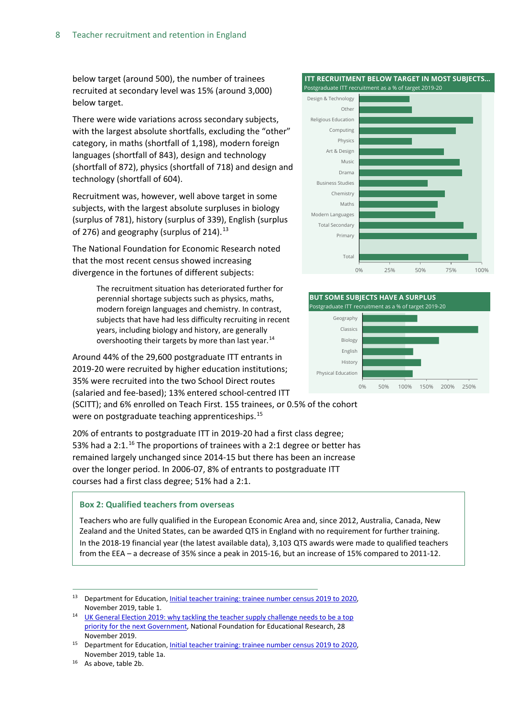below target (around 500), the number of trainees recruited at secondary level was 15% (around 3,000) below target.

There were wide variations across secondary subjects, with the largest absolute shortfalls, excluding the "other" category, in maths (shortfall of 1,198), modern foreign languages (shortfall of 843), design and technology (shortfall of 872), physics (shortfall of 718) and design and technology (shortfall of 604).

Recruitment was, however, well above target in some subjects, with the largest absolute surpluses in biology (surplus of 781), history (surplus of 339), English (surplus of 276) and geography (surplus of  $214$ ).<sup>[13](#page-7-0)</sup>

The National Foundation for Economic Research noted that the most recent census showed increasing divergence in the fortunes of different subjects:

> The recruitment situation has deteriorated further for perennial shortage subjects such as physics, maths, modern foreign languages and chemistry. In contrast, subjects that have had less difficulty recruiting in recent years, including biology and history, are generally overshooting their targets by more than last year.<sup>[14](#page-7-1)</sup>

Around 44% of the 29,600 postgraduate ITT entrants in 2019-20 were recruited by higher education institutions; 35% were recruited into the two School Direct routes (salaried and fee-based); 13% entered school-centred ITT

(SCITT); and 6% enrolled on Teach First. 155 trainees, or 0.5% of the cohort were on postgraduate teaching apprenticeships.<sup>[15](#page-7-2)</sup>

20% of entrants to postgraduate ITT in 2019-20 had a first class degree; 53% had a 2:1.<sup>[16](#page-7-3)</sup> The proportions of trainees with a 2:1 degree or better has remained largely unchanged since 2014-15 but there has been an increase over the longer period. In 2006-07, 8% of entrants to postgraduate ITT courses had a first class degree; 51% had a 2:1.

#### **Box 2: Qualified teachers from overseas**

Teachers who are fully qualified in the European Economic Area and, since 2012, Australia, Canada, New Zealand and the United States, can be awarded QTS in England with no requirement for further training. In the 2018-19 financial year (the latest available data), 3,103 QTS awards were made to qualified teachers from the EEA – a decrease of 35% since a peak in 2015-16, but an increase of 15% compared to 2011-12.

 **ITT RECRUITMENT BELOW TARGET IN MOST SUBJECTS…**





<span id="page-7-0"></span><sup>&</sup>lt;sup>13</sup> Department for Education[, Initial teacher training: trainee number census 2019 to 2020,](https://www.gov.uk/government/statistics/initial-teacher-training-trainee-number-census-2019-to-2020) November 2019, table 1.<br>UK General Election 2019: why tackling the teacher supply challenge needs to be a top

<span id="page-7-1"></span>[priority for the next Government,](https://www.nfer.ac.uk/news-events/nfer-blogs/uk-general-election-2019-why-tackling-the-teacher-supply-challenge-needs-to-be-a-top-priority-for-the-next-government/) National Foundation for Educational Research, 28 November 2019.

<span id="page-7-2"></span>Department for Education[, Initial teacher training: trainee number census 2019 to 2020,](https://www.gov.uk/government/statistics/initial-teacher-training-trainee-number-census-2019-to-2020) November 2019, table 1a.

<span id="page-7-3"></span><sup>16</sup> As above, table 2b.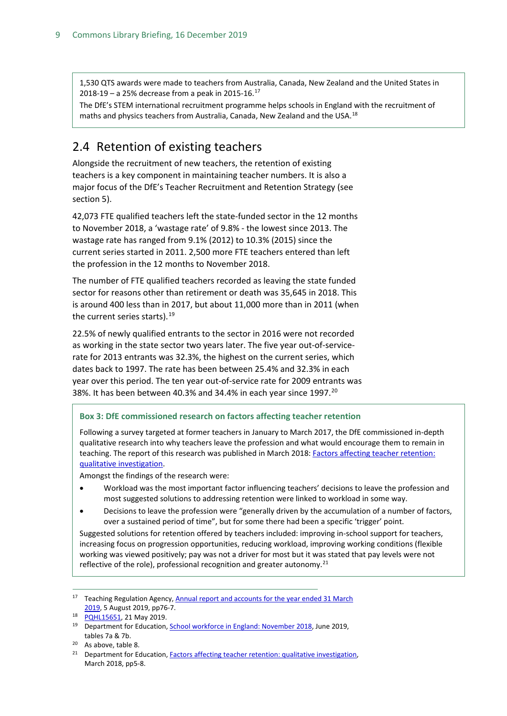1,530 QTS awards were made to teachers from Australia, Canada, New Zealand and the United States in 2018-19 – a 25% decrease from a peak in 2015-16.[17](#page-8-1)

The DfE's STEM international recruitment programme helps schools in England with the recruitment of maths and physics teachers from Australia, Canada, New Zealand and the USA.<sup>[18](#page-8-2)</sup>

## <span id="page-8-0"></span>2.4 Retention of existing teachers

Alongside the recruitment of new teachers, the retention of existing teachers is a key component in maintaining teacher numbers. It is also a major focus of the DfE's Teacher Recruitment and Retention Strategy (see section 5).

42,073 FTE qualified teachers left the state-funded sector in the 12 months to November 2018, a 'wastage rate' of 9.8% - the lowest since 2013. The wastage rate has ranged from 9.1% (2012) to 10.3% (2015) since the current series started in 2011. 2,500 more FTE teachers entered than left the profession in the 12 months to November 2018.

The number of FTE qualified teachers recorded as leaving the state funded sector for reasons other than retirement or death was 35,645 in 2018. This is around 400 less than in 2017, but about 11,000 more than in 2011 (when the current series starts).<sup>[19](#page-8-3)</sup>

22.5% of newly qualified entrants to the sector in 2016 were not recorded as working in the state sector two years later. The five year out-of-servicerate for 2013 entrants was 32.3%, the highest on the current series, which dates back to 1997. The rate has been between 25.4% and 32.3% in each year over this period. The ten year out-of-service rate for 2009 entrants was 38%. It has been between 40.3% and 34.4% in each year since 1997.<sup>[20](#page-8-4)</sup>

#### **Box 3: DfE commissioned research on factors affecting teacher retention**

Following a survey targeted at former teachers in January to March 2017, the DfE commissioned in-depth qualitative research into why teachers leave the profession and what would encourage them to remain in teaching. The report of this research was published in March 2018[: Factors affecting teacher retention:](https://assets.publishing.service.gov.uk/government/uploads/system/uploads/attachment_data/file/686947/Factors_affecting_teacher_retention_-_qualitative_investigation.pdf)  [qualitative investigation.](https://assets.publishing.service.gov.uk/government/uploads/system/uploads/attachment_data/file/686947/Factors_affecting_teacher_retention_-_qualitative_investigation.pdf)

Amongst the findings of the research were:

- Workload was the most important factor influencing teachers' decisions to leave the profession and most suggested solutions to addressing retention were linked to workload in some way.
- Decisions to leave the profession were "generally driven by the accumulation of a number of factors, over a sustained period of time", but for some there had been a specific 'trigger' point.

Suggested solutions for retention offered by teachers included: improving in-school support for teachers, increasing focus on progression opportunities, reducing workload, improving working conditions (flexible working was viewed positively; pay was not a driver for most but it was stated that pay levels were not reflective of the role), professional recognition and greater autonomy.<sup>[21](#page-8-5)</sup>

<span id="page-8-1"></span><sup>&</sup>lt;sup>17</sup> Teaching Regulation Agency, Annual report and accounts for the year ended 31 March [2019,](https://www.gov.uk/government/publications/teaching-regulation-agency-annual-report-and-accounts-2018-to-2019) 5 August 2019, pp76-7.

<span id="page-8-2"></span><sup>18</sup> [PQHL15651,](https://www.parliament.uk/written-questions-answers-statements/written-question/lords/2019-05-09/HL15651) 21 May 2019.

<span id="page-8-3"></span><sup>&</sup>lt;sup>19</sup> Department for Education[, School workforce in England: November 2018](https://www.gov.uk/government/statistics/school-workforce-in-england-november-2018), June 2019, tables 7a & 7b.

As above, table 8.

<span id="page-8-5"></span><span id="page-8-4"></span><sup>&</sup>lt;sup>21</sup> Department for Education[, Factors affecting teacher retention: qualitative investigation,](https://assets.publishing.service.gov.uk/government/uploads/system/uploads/attachment_data/file/686947/Factors_affecting_teacher_retention_-_qualitative_investigation.pdf) March 2018, pp5-8.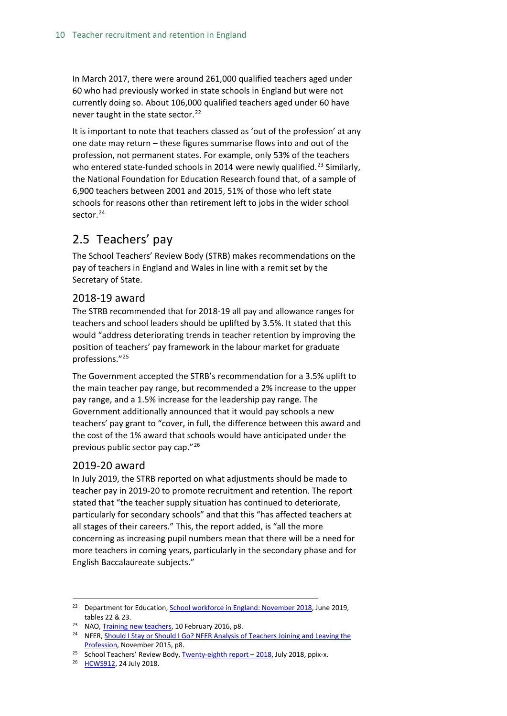In March 2017, there were around 261,000 qualified teachers aged under 60 who had previously worked in state schools in England but were not currently doing so. About 106,000 qualified teachers aged under 60 have never taught in the state sector. $^{22}$  $^{22}$  $^{22}$ 

It is important to note that teachers classed as 'out of the profession' at any one date may return – these figures summarise flows into and out of the profession, not permanent states. For example, only 53% of the teachers who entered state-funded schools in 2014 were newly qualified.<sup>[23](#page-9-4)</sup> Similarly, the National Foundation for Education Research found that, of a sample of 6,900 teachers between 2001 and 2015, 51% of those who left state schools for reasons other than retirement left to jobs in the wider school sector. [24](#page-9-5)

## <span id="page-9-0"></span>2.5 Teachers' pay

The School Teachers' Review Body (STRB) makes recommendations on the pay of teachers in England and Wales in line with a remit set by the Secretary of State.

### <span id="page-9-1"></span>2018-19 award

The STRB recommended that for 2018-19 all pay and allowance ranges for teachers and school leaders should be uplifted by 3.5%. It stated that this would "address deteriorating trends in teacher retention by improving the position of teachers' pay framework in the labour market for graduate professions."[25](#page-9-6)

The Government accepted the STRB's recommendation for a 3.5% uplift to the main teacher pay range, but recommended a 2% increase to the upper pay range, and a 1.5% increase for the leadership pay range. The Government additionally announced that it would pay schools a new teachers' pay grant to "cover, in full, the difference between this award and the cost of the 1% award that schools would have anticipated under the previous public sector pay cap."<sup>[26](#page-9-7)</sup>

### <span id="page-9-2"></span>2019-20 award

In July 2019, the STRB reported on what adjustments should be made to teacher pay in 2019-20 to promote recruitment and retention. The report stated that "the teacher supply situation has continued to deteriorate, particularly for secondary schools" and that this "has affected teachers at all stages of their careers." This, the report added, is "all the more concerning as increasing pupil numbers mean that there will be a need for more teachers in coming years, particularly in the secondary phase and for English Baccalaureate subjects."

<span id="page-9-3"></span><sup>&</sup>lt;sup>22</sup> Department for Education, **School workforce in England: November 2018**, June 2019, tables 22 & 23.

<span id="page-9-4"></span><sup>&</sup>lt;sup>23</sup> NAO[, Training new teachers,](https://www.nao.org.uk/wp-content/uploads/2016/02/Training-new-teachers.pdf) 10 February 2016, p8.

<span id="page-9-5"></span><sup>&</sup>lt;sup>24</sup> NFER, Should I Stay or Should I Go? NFER Analysis of Teachers Joining and Leaving the [Profession,](https://www.nfer.ac.uk/media/1924/lfsa01.pdf) November 2015, p8.

<span id="page-9-6"></span><sup>&</sup>lt;sup>25</sup> School Teachers' Review Body, Twenty-eighth report  $-$  2018, July 2018, ppix-x.

<span id="page-9-7"></span><sup>&</sup>lt;sup>26</sup> [HCWS912,](https://www.parliament.uk/business/publications/written-questions-answers-statements/written-statement/Commons/2018-07-24/HCWS912/) 24 July 2018.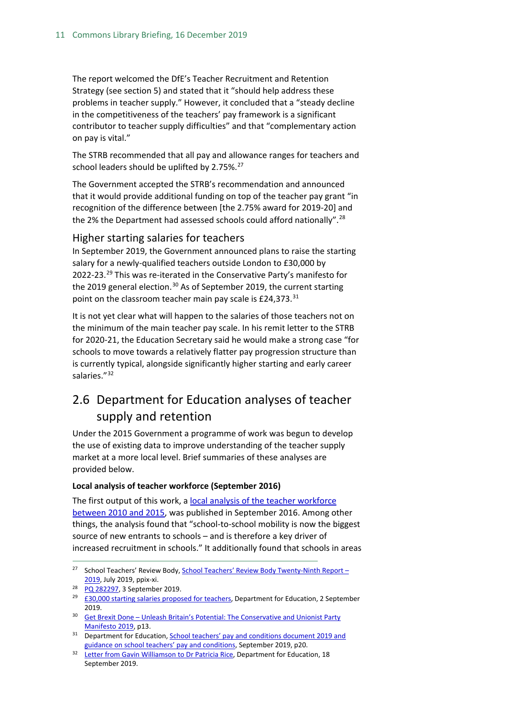The report welcomed the DfE's Teacher Recruitment and Retention Strategy (see section 5) and stated that it "should help address these problems in teacher supply." However, it concluded that a "steady decline in the competitiveness of the teachers' pay framework is a significant contributor to teacher supply difficulties" and that "complementary action on pay is vital."

The STRB recommended that all pay and allowance ranges for teachers and school leaders should be uplifted by  $2.75\%$ .<sup>[27](#page-10-2)</sup>

The Government accepted the STRB's recommendation and announced that it would provide additional funding on top of the teacher pay grant "in recognition of the difference between [the 2.75% award for 2019-20] and the 2% the Department had assessed schools could afford nationally".<sup>[28](#page-10-3)</sup>

#### <span id="page-10-0"></span>Higher starting salaries for teachers

In September 2019, the Government announced plans to raise the starting salary for a newly-qualified teachers outside London to £30,000 by 2022-23.<sup>[29](#page-10-4)</sup> This was re-iterated in the Conservative Party's manifesto for the 2019 general election.<sup>[30](#page-10-5)</sup> As of September 2019, the current starting point on the classroom teacher main pay scale is £24,373.<sup>[31](#page-10-6)</sup>

It is not yet clear what will happen to the salaries of those teachers not on the minimum of the main teacher pay scale. In his remit letter to the STRB for 2020-21, the Education Secretary said he would make a strong case "for schools to move towards a relatively flatter pay progression structure than is currently typical, alongside significantly higher starting and early career salaries."[32](#page-10-7)

## <span id="page-10-1"></span>2.6 Department for Education analyses of teacher supply and retention

Under the 2015 Government a programme of work was begun to develop the use of existing data to improve understanding of the teacher supply market at a more local level. Brief summaries of these analyses are provided below.

#### **Local analysis of teacher workforce (September 2016)**

The first output of this work, a [local analysis of the teacher workforce](https://www.gov.uk/government/statistics/local-analysis-of-teacher-workforce-2010-to-2015)  [between 2010 and 2015,](https://www.gov.uk/government/statistics/local-analysis-of-teacher-workforce-2010-to-2015) was published in September 2016. Among other things, the analysis found that "school-to-school mobility is now the biggest source of new entrants to schools – and is therefore a key driver of increased recruitment in schools." It additionally found that schools in areas

<span id="page-10-2"></span><sup>&</sup>lt;sup>27</sup> School Teachers' Review Body, School Teachers' Review Body Twenty-Ninth Report -[2019,](https://assets.publishing.service.gov.uk/government/uploads/system/uploads/attachment_data/file/819428/School_Teachers__Review_Body_29th_report_2019.pdf) July 2019, ppix-xi.

<span id="page-10-3"></span><sup>&</sup>lt;sup>28</sup> [PQ 282297,](https://www.parliament.uk/written-questions-answers-statements/written-question/commons/2019-07-25/282297) 3 September 2019.

<span id="page-10-4"></span><sup>&</sup>lt;sup>29</sup> £30,000 [starting salaries proposed for teachers,](https://www.gov.uk/government/news/30000-starting-salaries-proposed-for-teachers) Department for Education, 2 September 2019.

<span id="page-10-5"></span><sup>&</sup>lt;sup>30</sup> Get Brexit Done – Unleash Britain's Potential: The Conservative and Unionist Party [Manifesto 2019,](https://assets-global.website-files.com/5da42e2cae7ebd3f8bde353c/5dda924905da587992a064ba_Conservative%202019%20Manifesto.pdf) p13.

<span id="page-10-6"></span><sup>&</sup>lt;sup>31</sup> Department for Education, School teachers' pay and conditions document 2019 and [guidance on school teachers' pay and conditions,](https://assets.publishing.service.gov.uk/government/uploads/system/uploads/attachment_data/file/832634/School_teachers_pay_and_conditions_2019.pdf) September 2019, p20.

<span id="page-10-7"></span><sup>&</sup>lt;sup>32</sup> [Letter from Gavin Williamson to Dr Patricia Rice,](https://www.gov.uk/government/publications/school-teachers-review-body-strb-remit-letter-for-2020) Department for Education, 18 September 2019.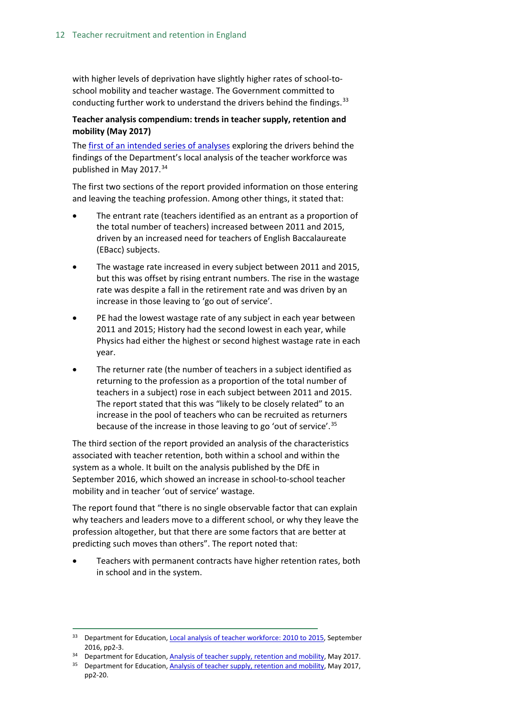with higher levels of deprivation have slightly higher rates of school-toschool mobility and teacher wastage. The Government committed to conducting further work to understand the drivers behind the findings.<sup>[33](#page-11-0)</sup>

#### **Teacher analysis compendium: trends in teacher supply, retention and mobility (May 2017)**

The [first of an intended series of analyses](https://www.gov.uk/government/statistics/teachers-analysis-compendium-2017) exploring the drivers behind the findings of the Department's local analysis of the teacher workforce was published in May 2017.<sup>[34](#page-11-1)</sup>

The first two sections of the report provided information on those entering and leaving the teaching profession. Among other things, it stated that:

- The entrant rate (teachers identified as an entrant as a proportion of the total number of teachers) increased between 2011 and 2015, driven by an increased need for teachers of English Baccalaureate (EBacc) subjects.
- The wastage rate increased in every subject between 2011 and 2015, but this was offset by rising entrant numbers. The rise in the wastage rate was despite a fall in the retirement rate and was driven by an increase in those leaving to 'go out of service'.
- PE had the lowest wastage rate of any subject in each year between 2011 and 2015; History had the second lowest in each year, while Physics had either the highest or second highest wastage rate in each year.
- The returner rate (the number of teachers in a subject identified as returning to the profession as a proportion of the total number of teachers in a subject) rose in each subject between 2011 and 2015. The report stated that this was "likely to be closely related" to an increase in the pool of teachers who can be recruited as returners because of the increase in those leaving to go 'out of service'.[35](#page-11-2)

The third section of the report provided an analysis of the characteristics associated with teacher retention, both within a school and within the system as a whole. It built on the analysis published by the DfE in September 2016, which showed an increase in school-to-school teacher mobility and in teacher 'out of service' wastage.

The report found that "there is no single observable factor that can explain why teachers and leaders move to a different school, or why they leave the profession altogether, but that there are some factors that are better at predicting such moves than others". The report noted that:

• Teachers with permanent contracts have higher retention rates, both in school and in the system.

<span id="page-11-0"></span><sup>&</sup>lt;sup>33</sup> Department for Education[, Local analysis of teacher workforce: 2010 to 2015,](https://www.gov.uk/government/statistics/local-analysis-of-teacher-workforce-2010-to-2015) September 2016, pp2-3.

<span id="page-11-1"></span><sup>&</sup>lt;sup>34</sup> Department for Education[, Analysis of teacher supply, retention and mobility,](https://www.gov.uk/government/statistics/teachers-analysis-compendium-2017) May 2017.

<span id="page-11-2"></span><sup>&</sup>lt;sup>35</sup> Department for Education[, Analysis of teacher supply, retention and mobility,](https://www.gov.uk/government/statistics/teachers-analysis-compendium-2017) May 2017, pp2-20.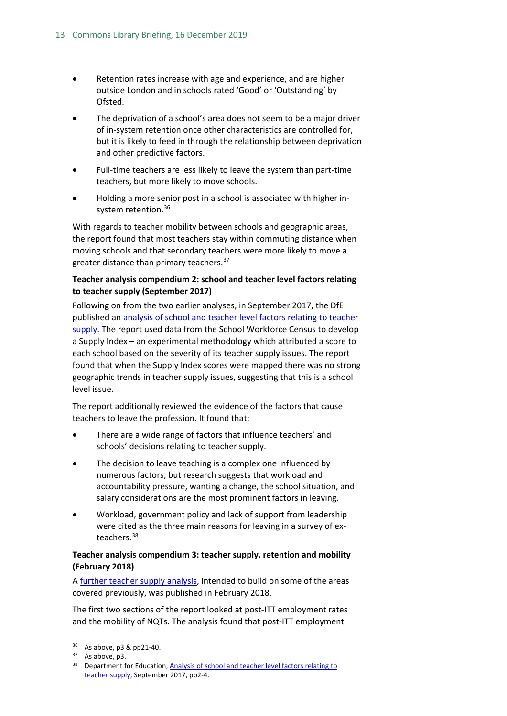- Retention rates increase with age and experience, and are higher outside London and in schools rated 'Good' or 'Outstanding' by Ofsted.
- The deprivation of a school's area does not seem to be a major driver of in-system retention once other characteristics are controlled for, but it is likely to feed in through the relationship between deprivation and other predictive factors.
- Full-time teachers are less likely to leave the system than part-time teachers, but more likely to move schools.
- Holding a more senior post in a school is associated with higher in-system retention.<sup>[36](#page-12-0)</sup>

With regards to teacher mobility between schools and geographic areas, the report found that most teachers stay within commuting distance when moving schools and that secondary teachers were more likely to move a greater distance than primary teachers.<sup>37</sup>

#### **Teacher analysis compendium 2: school and teacher level factors relating to teacher supply (September 2017)**

Following on from the two earlier analyses, in September 2017, the DfE published an [analysis of school and teacher level factors relating to teacher](https://www.gov.uk/government/uploads/system/uploads/attachment_data/file/643974/SFR86_2017_Main_Text.pdf)  [supply.](https://www.gov.uk/government/uploads/system/uploads/attachment_data/file/643974/SFR86_2017_Main_Text.pdf) The report used data from the School Workforce Census to develop a Supply Index – an experimental methodology which attributed a score to each school based on the severity of its teacher supply issues. The report found that when the Supply Index scores were mapped there was no strong geographic trends in teacher supply issues, suggesting that this is a school level issue.

The report additionally reviewed the evidence of the factors that cause teachers to leave the profession. It found that:

- There are a wide range of factors that influence teachers' and schools' decisions relating to teacher supply.
- The decision to leave teaching is a complex one influenced by numerous factors, but research suggests that workload and accountability pressure, wanting a change, the school situation, and salary considerations are the most prominent factors in leaving.
- Workload, government policy and lack of support from leadership were cited as the three main reasons for leaving in a survey of exteachers.[38](#page-12-2)

#### **Teacher analysis compendium 3: teacher supply, retention and mobility (February 2018)**

A [further teacher supply analysis,](https://assets.publishing.service.gov.uk/government/uploads/system/uploads/attachment_data/file/682892/SFR11_2018_Main_Text.pdf) intended to build on some of the areas covered previously, was published in February 2018.

The first two sections of the report looked at post-ITT employment rates and the mobility of NQTs. The analysis found that post-ITT employment

 <sup>36</sup> As above, p3 & pp21-40.

<span id="page-12-2"></span><span id="page-12-1"></span><span id="page-12-0"></span><sup>&</sup>lt;sup>37</sup> As above, p3.

<sup>&</sup>lt;sup>38</sup> Department for Education, Analysis of school and teacher level factors relating to [teacher supply,](https://www.gov.uk/government/uploads/system/uploads/attachment_data/file/643974/SFR86_2017_Main_Text.pdf) September 2017, pp2-4.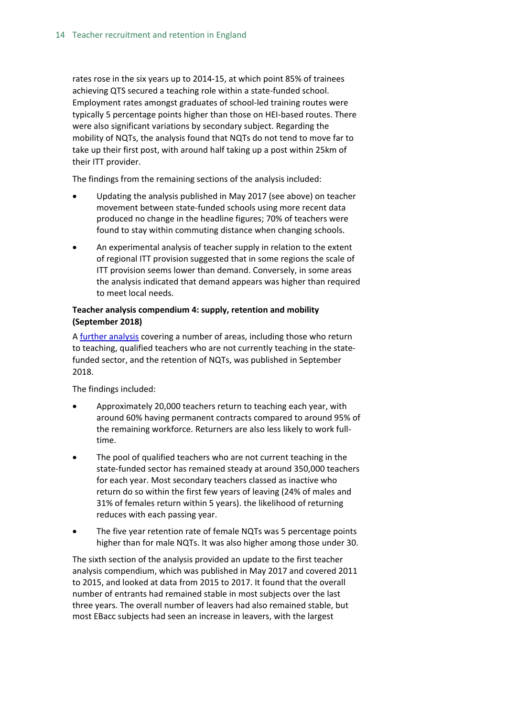rates rose in the six years up to 2014-15, at which point 85% of trainees achieving QTS secured a teaching role within a state-funded school. Employment rates amongst graduates of school-led training routes were typically 5 percentage points higher than those on HEI-based routes. There were also significant variations by secondary subject. Regarding the mobility of NQTs, the analysis found that NQTs do not tend to move far to take up their first post, with around half taking up a post within 25km of their ITT provider.

The findings from the remaining sections of the analysis included:

- Updating the analysis published in May 2017 (see above) on teacher movement between state-funded schools using more recent data produced no change in the headline figures; 70% of teachers were found to stay within commuting distance when changing schools.
- An experimental analysis of teacher supply in relation to the extent of regional ITT provision suggested that in some regions the scale of ITT provision seems lower than demand. Conversely, in some areas the analysis indicated that demand appears was higher than required to meet local needs.

#### **Teacher analysis compendium 4: supply, retention and mobility (September 2018)**

A [further analysis](https://assets.publishing.service.gov.uk/government/uploads/system/uploads/attachment_data/file/743743/Teachers_Analysis_Compendium_4.pdf) covering a number of areas, including those who return to teaching, qualified teachers who are not currently teaching in the statefunded sector, and the retention of NQTs, was published in September 2018.

The findings included:

- Approximately 20,000 teachers return to teaching each year, with around 60% having permanent contracts compared to around 95% of the remaining workforce. Returners are also less likely to work fulltime.
- The pool of qualified teachers who are not current teaching in the state-funded sector has remained steady at around 350,000 teachers for each year. Most secondary teachers classed as inactive who return do so within the first few years of leaving (24% of males and 31% of females return within 5 years). the likelihood of returning reduces with each passing year.
- The five year retention rate of female NQTs was 5 percentage points higher than for male NQTs. It was also higher among those under 30.

The sixth section of the analysis provided an update to the first teacher analysis compendium, which was published in May 2017 and covered 2011 to 2015, and looked at data from 2015 to 2017. It found that the overall number of entrants had remained stable in most subjects over the last three years. The overall number of leavers had also remained stable, but most EBacc subjects had seen an increase in leavers, with the largest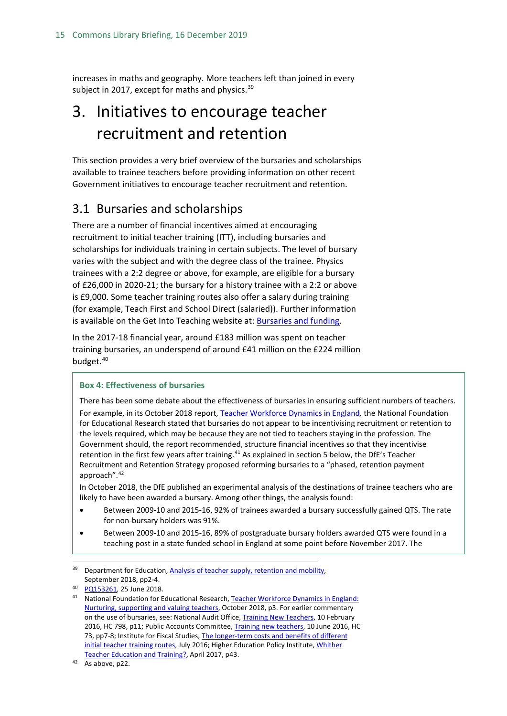increases in maths and geography. More teachers left than joined in every subject in 2017, except for maths and physics.  $39$ 

## <span id="page-14-0"></span>3. Initiatives to encourage teacher recruitment and retention

This section provides a very brief overview of the bursaries and scholarships available to trainee teachers before providing information on other recent Government initiatives to encourage teacher recruitment and retention.

## <span id="page-14-1"></span>3.1 Bursaries and scholarships

There are a number of financial incentives aimed at encouraging recruitment to initial teacher training (ITT), including bursaries and scholarships for individuals training in certain subjects. The level of bursary varies with the subject and with the degree class of the trainee. Physics trainees with a 2:2 degree or above, for example, are eligible for a bursary of £26,000 in 2020-21; the bursary for a history trainee with a 2:2 or above is £9,000. Some teacher training routes also offer a salary during training (for example, Teach First and School Direct (salaried)). Further information is available on the Get Into Teaching website at[: Bursaries and funding.](https://getintoteaching.education.gov.uk/funding-and-salary/overview)

In the 2017-18 financial year, around £183 million was spent on teacher training bursaries, an underspend of around £41 million on the £224 million budget.<sup>[40](#page-14-3)</sup>

#### **Box 4: Effectiveness of bursaries**

There has been some debate about the effectiveness of bursaries in ensuring sufficient numbers of teachers. For example, in its October 2018 report[, Teacher Workforce Dynamics in](https://www.nfer.ac.uk/teacher-workforce-dynamics-in-england/) England*,* the National Foundation for Educational Research stated that bursaries do not appear to be incentivising recruitment or retention to the levels required, which may be because they are not tied to teachers staying in the profession. The Government should, the report recommended, structure financial incentives so that they incentivise retention in the first few years after training.<sup>[41](#page-14-4)</sup> As explained in section 5 below, the DfE's Teacher Recruitment and Retention Strategy proposed reforming bursaries to a "phased, retention payment approach".[42](#page-14-5)

In October 2018, the DfE published an experimental analysis of the destinations of trainee teachers who are likely to have been awarded a bursary. Among other things, the analysis found:

- Between 2009-10 and 2015-16, 92% of trainees awarded a bursary successfully gained QTS. The rate for non-bursary holders was 91%.
- Between 2009-10 and 2015-16, 89% of postgraduate bursary holders awarded QTS were found in a teaching post in a state funded school in England at some point before November 2017. The

<span id="page-14-2"></span><sup>&</sup>lt;sup>39</sup> Department for Education, Analysis of teacher supply, retention and mobility, September 2018, pp2-4.

<span id="page-14-3"></span><sup>40</sup> [PQ153261,](https://www.parliament.uk/written-questions-answers-statements/written-question/commons/2018-06-13/153261) 25 June 2018.

<span id="page-14-4"></span><sup>41</sup> National Foundation for Educational Research[, Teacher Workforce Dynamics in](https://www.nfer.ac.uk/media/3111/teacher_workforce_dynamics_in_england_final_report.pdf) England: [Nurturing, supporting and valuing teachers,](https://www.nfer.ac.uk/media/3111/teacher_workforce_dynamics_in_england_final_report.pdf) October 2018, p3. For earlier commentary on the use of bursaries, see: National Audit Office[, Training New Teachers,](https://www.nao.org.uk/report/training-new-teachers/) 10 February 2016, HC 798, p11; Public Accounts Committee[, Training new teachers,](https://www.publications.parliament.uk/pa/cm201617/cmselect/cmpubacc/73/73.pdf) 10 June 2016, HC 73, pp7-8; Institute for Fiscal Studies, The longer-term costs and benefits of different [initial teacher training routes,](https://www.ifs.org.uk/publications/8368) July 2016; Higher Education Policy Institute, Whither [Teacher Education and Training?,](http://www.hepi.ac.uk/wp-content/uploads/2017/04/Embargoed-until-00.01am-Thursday-27-April-2017-WHITHER-TEACHER-EDUCATION-AND-TRAINING-Report-95-19_04_17WEB.pdf) April 2017, p43.

<span id="page-14-5"></span><sup>42</sup> As above, p22.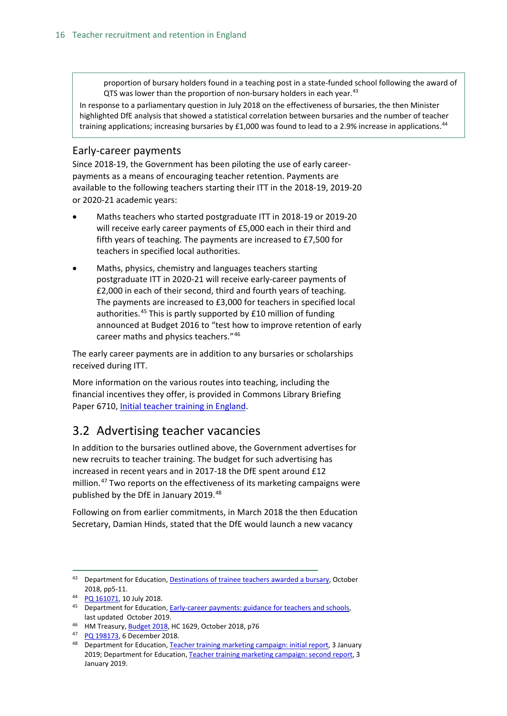proportion of bursary holders found in a teaching post in a state-funded school following the award of QTS was lower than the proportion of non-bursary holders in each year.<sup>[43](#page-15-2)</sup>

In response to a parliamentary question in July 2018 on the effectiveness of bursaries, the then Minister highlighted DfE analysis that showed a statistical correlation between bursaries and the number of teacher training applications; increasing bursaries by £1,000 was found to lead to a 2.9% increase in applications.<sup>[44](#page-15-3)</sup>

#### <span id="page-15-0"></span>Early-career payments

Since 2018-19, the Government has been piloting the use of early careerpayments as a means of encouraging teacher retention. Payments are available to the following teachers starting their ITT in the 2018-19, 2019-20 or 2020-21 academic years:

- Maths teachers who started postgraduate ITT in 2018-19 or 2019-20 will receive early career payments of £5,000 each in their third and fifth years of teaching. The payments are increased to £7,500 for teachers in specified local authorities.
- Maths, physics, chemistry and languages teachers starting postgraduate ITT in 2020-21 will receive early-career payments of £2,000 in each of their second, third and fourth years of teaching. The payments are increased to £3,000 for teachers in specified local authorities.<sup>[45](#page-15-4)</sup> This is partly supported by £10 million of funding announced at Budget 2016 to "test how to improve retention of early career maths and physics teachers."[46](#page-15-5)

The early career payments are in addition to any bursaries or scholarships received during ITT.

More information on the various routes into teaching, including the financial incentives they offer, is provided in Commons Library Briefing Paper 6710, [Initial teacher training in England.](http://researchbriefings.files.parliament.uk/documents/SN06710/SN06710.pdf)

### <span id="page-15-1"></span>3.2 Advertising teacher vacancies

In addition to the bursaries outlined above, the Government advertises for new recruits to teacher training. The budget for such advertising has increased in recent years and in 2017-18 the DfE spent around £12 million.<sup>[47](#page-15-6)</sup> Two reports on the effectiveness of its marketing campaigns were published by the DfE in January 2019.<sup>[48](#page-15-7)</sup>

Following on from earlier commitments, in March 2018 the then Education Secretary, Damian Hinds, stated that the DfE would launch a new vacancy

<span id="page-15-2"></span><sup>43</sup> Department for Education[, Destinations of trainee teachers awarded a bursary,](https://assets.publishing.service.gov.uk/government/uploads/system/uploads/attachment_data/file/751197/Annex_-_Destinations_of_trainee_teachers_awarded_a_bursary__1_.pdf) October 2018, pp5-11.

<span id="page-15-3"></span><sup>44</sup> [PQ 161071,](https://www.parliament.uk/written-questions-answers-statements/written-question/commons/2018-07-05/161071) 10 July 2018.

<span id="page-15-4"></span><sup>45</sup> Department for Education[, Early-career payments: guidance for teachers and schools,](https://www.gov.uk/guidance/mathematics-early-career-payments-guidance-for-teachers-and-schools?utm_source=d048083f-39e4-4b85-8fe9-11a60ac56839&utm_medium=email&utm_campaign=govuk-notifications&utm_content=immediate) last updated October 2019.

<span id="page-15-5"></span><sup>&</sup>lt;sup>46</sup> HM Treasury, **Budget 2018**, HC 1629, October 2018, p76

<span id="page-15-6"></span><sup>47</sup> [PQ 198173,](https://www.parliament.uk/written-questions-answers-statements/written-question/commons/2018-12-03/198173) 6 December 2018.

<span id="page-15-7"></span><sup>48</sup> Department for Education[, Teacher training marketing campaign: initial report,](https://www.gov.uk/government/publications/teacher-training-marketing-campaign-initial-report) 3 January 2019; Department for Education[, Teacher training marketing campaign: second report,](https://www.gov.uk/government/publications/teacher-training-marketing-campaign-second-report) 3 January 2019.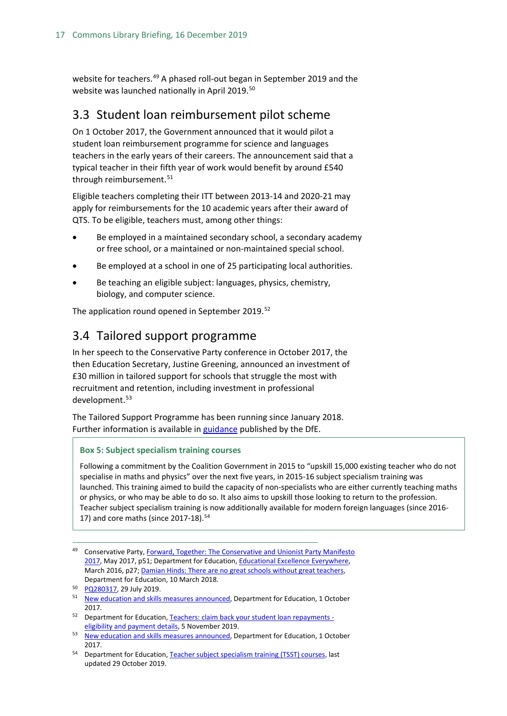website for teachers.<sup>[49](#page-16-2)</sup> A phased roll-out began in September 2019 and the website was launched nationally in April 2019.<sup>[50](#page-16-3)</sup>

## <span id="page-16-0"></span>3.3 Student loan reimbursement pilot scheme

On 1 October 2017, the Government announced that it would pilot a student loan reimbursement programme for science and languages teachers in the early years of their careers. The announcement said that a typical teacher in their fifth year of work would benefit by around £540 through reimbursement.<sup>[51](#page-16-4)</sup>

Eligible teachers completing their ITT between 2013-14 and 2020-21 may apply for reimbursements for the 10 academic years after their award of QTS. To be eligible, teachers must, among other things:

- Be employed in a maintained secondary school, a secondary academy or free school, or a maintained or non-maintained special school.
- Be employed at a school in one of 25 participating local authorities.
- Be teaching an eligible subject: languages, physics, chemistry, biology, and computer science.

The application round opened in September 2019.<sup>[52](#page-16-5)</sup>

## <span id="page-16-1"></span>3.4 Tailored support programme

In her speech to the Conservative Party conference in October 2017, the then Education Secretary, Justine Greening, announced an investment of £30 million in tailored support for schools that struggle the most with recruitment and retention, including investment in professional development.<sup>[53](#page-16-6)</sup>

The Tailored Support Programme has been running since January 2018. Further information is available in [guidance](https://www.gov.uk/government/publications/tailored-support-programme-system-leaders-support?utm_source=7678eb46-9cc9-4561-bbcb-4f23ca8d4046&utm_medium=email&utm_campaign=govuk-notifications&utm_content=immediate) published by the DfE.

#### **Box 5: Subject specialism training courses**

Following a commitment by the Coalition Government in 2015 to "upskill 15,000 existing teacher who do not specialise in maths and physics" over the next five years, in 2015-16 subject specialism training was launched. This training aimed to build the capacity of non-specialists who are either currently teaching maths or physics, or who may be able to do so. It also aims to upskill those looking to return to the profession. Teacher subject specialism training is now additionally available for modern foreign languages (since 2016- 17) and core maths (since 2017-18).<sup>[54](#page-16-7)</sup>

<span id="page-16-2"></span><sup>&</sup>lt;sup>49</sup> Conservative Party, Forward, Together: The Conservative and Unionist Party Manifesto [2017,](https://s3.eu-west-2.amazonaws.com/manifesto2017/Manifesto2017.pdf) May 2017, p51; Department for Education, [Educational Excellence Everywhere,](https://www.gov.uk/government/publications/educational-excellence-everywhere)  March 2016, p27; [Damian Hinds: There are no great schools without great teachers,](https://www.gov.uk/government/speeches/damian-hinds-there-are-no-great-schools-without-great-teachers)  Department for Education, 10 March 2018.

<span id="page-16-3"></span><sup>50</sup> [PQ280317,](https://www.parliament.uk/written-questions-answers-statements/written-question/commons/2019-07-22/280317) 29 July 2019.

<span id="page-16-4"></span><sup>&</sup>lt;sup>51</sup> [New education and skills measures announced,](https://www.gov.uk/government/news/new-education-and-skills-measures-announced) Department for Education, 1 October 2017.

<span id="page-16-5"></span><sup>52</sup> Department for Education[, Teachers: claim back your student loan repayments](https://www.gov.uk/government/publications/additional-payments-for-teaching-eligibility-and-payment-details/teachers-claim-back-your-student-loan-repayments-eligibility-and-payment-details)  [eligibility and payment details,](https://www.gov.uk/government/publications/additional-payments-for-teaching-eligibility-and-payment-details/teachers-claim-back-your-student-loan-repayments-eligibility-and-payment-details) 5 November 2019.

<span id="page-16-6"></span><sup>53</sup> [New education and skills measures announced,](https://www.gov.uk/government/news/new-education-and-skills-measures-announced) Department for Education, 1 October 2017.

<span id="page-16-7"></span><sup>54</sup> Department for Education[, Teacher subject specialism training \(TSST\) courses,](https://www.gov.uk/guidance/teacher-subject-specialism-training-courseshttps:/www.gov.uk/guidance/teacher-subject-specialism-training-courses) last updated 29 October 2019.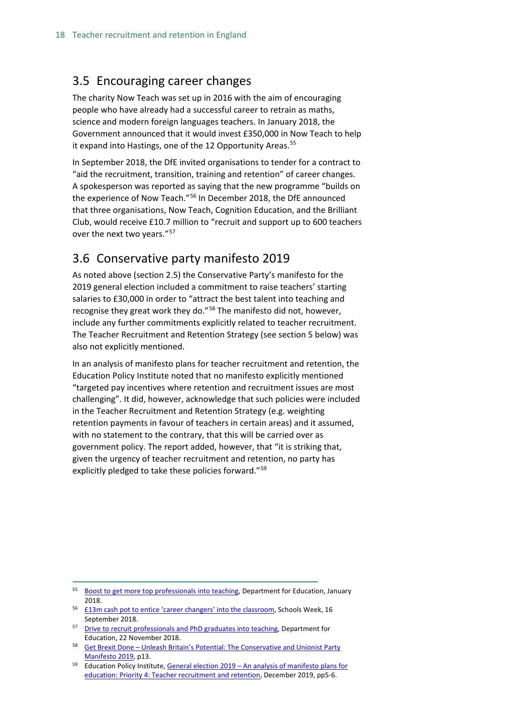## <span id="page-17-0"></span>3.5 Encouraging career changes

The charity Now Teach was set up in 2016 with the aim of encouraging people who have already had a successful career to retrain as maths, science and modern foreign languages teachers. In January 2018, the Government announced that it would invest £350,000 in Now Teach to help it expand into Hastings, one of the 12 Opportunity Areas.<sup>[55](#page-17-2)</sup>

In September 2018, the DfE invited organisations to tender for a contract to "aid the recruitment, transition, training and retention" of career changes. A spokesperson was reported as saying that the new programme "builds on the experience of Now Teach."[56](#page-17-3) In December 2018, the DfE announced that three organisations, Now Teach, Cognition Education, and the Brilliant Club, would receive £10.7 million to "recruit and support up to 600 teachers over the next two years."<sup>[57](#page-17-4)</sup>

## <span id="page-17-1"></span>3.6 Conservative party manifesto 2019

As noted above (section 2.5) the Conservative Party's manifesto for the 2019 general election included a commitment to raise teachers' starting salaries to £30,000 in order to "attract the best talent into teaching and recognise they great work they do."<sup>[58](#page-17-5)</sup> The manifesto did not, however, include any further commitments explicitly related to teacher recruitment. The Teacher Recruitment and Retention Strategy (see section 5 below) was also not explicitly mentioned.

In an analysis of manifesto plans for teacher recruitment and retention, the Education Policy Institute noted that no manifesto explicitly mentioned "targeted pay incentives where retention and recruitment issues are most challenging". It did, however, acknowledge that such policies were included in the Teacher Recruitment and Retention Strategy (e.g. weighting retention payments in favour of teachers in certain areas) and it assumed, with no statement to the contrary, that this will be carried over as government policy. The report added, however, that "it is striking that, given the urgency of teacher recruitment and retention, no party has explicitly pledged to take these policies forward."[59](#page-17-6)

- <span id="page-17-3"></span><sup>56</sup> [£13m cash pot to entice 'career changers' into the classroom,](https://schoolsweek.co.uk/13m-cash-pot-to-entice-career-changers-into-the-classroom/) Schools Week, 16 September 2018.
- <span id="page-17-4"></span><sup>57</sup> [Drive to recruit professionals and PhD graduates into teaching,](https://www.gov.uk/government/news/drive-to-recruit-professionals-and-phd-graduates-into-teaching) Department for Education, 22 November 2018.
- <span id="page-17-5"></span><sup>58</sup> Get Brexit Done – [Unleash Britain's Potential: The Conservative and Unionist Party](https://assets-global.website-files.com/5da42e2cae7ebd3f8bde353c/5dda924905da587992a064ba_Conservative%202019%20Manifesto.pdf)  [Manifesto 2019,](https://assets-global.website-files.com/5da42e2cae7ebd3f8bde353c/5dda924905da587992a064ba_Conservative%202019%20Manifesto.pdf) p13.
- <span id="page-17-6"></span><sup>59</sup> Education Policy Institute, General election 2019 – An analysis of manifesto plans for [education: Priority 4: Teacher recruitment and retention,](https://epi.org.uk/wp-content/uploads/2019/12/Priority-4-teacher-recruitment-and-retention.pdf) December 2019, pp5-6.

<span id="page-17-2"></span><sup>55</sup> [Boost to get more top professionals into teaching,](https://www.gov.uk/government/news/boost-to-get-more-top-professionals-into-teaching) Department for Education, January 2018.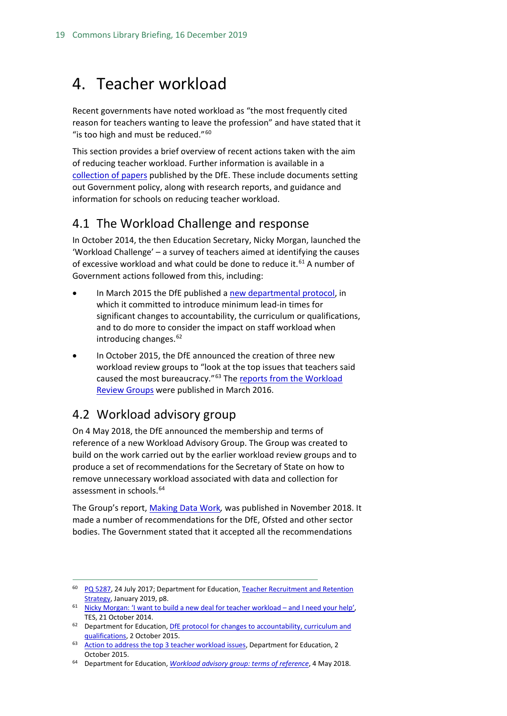## <span id="page-18-0"></span>4. Teacher workload

Recent governments have noted workload as "the most frequently cited reason for teachers wanting to leave the profession" and have stated that it "is too high and must be reduced."<sup>[60](#page-18-3)</sup>

This section provides a brief overview of recent actions taken with the aim of reducing teacher workload. Further information is available in a [collection of papers](https://www.gov.uk/government/collections/reducing-school-workload) published by the DfE. These include documents setting out Government policy, along with research reports, and guidance and information for schools on reducing teacher workload.

### <span id="page-18-1"></span>4.1 The Workload Challenge and response

In October 2014, the then Education Secretary, Nicky Morgan, launched the 'Workload Challenge' – a survey of teachers aimed at identifying the causes of excessive workload and what could be done to reduce it.<sup>[61](#page-18-4)</sup> A number of Government actions followed from this, including:

- In March 2015 the DfE published a [new departmental protocol,](https://www.gov.uk/government/publications/dfe-protocol-for-changes-to-accountability-curriculum-and-qualifications) in which it committed to introduce minimum lead-in times for significant changes to accountability, the curriculum or qualifications, and to do more to consider the impact on staff workload when introducing changes. $62$
- In October 2015, the DfE announced the creation of three new workload review groups to "look at the top issues that teachers said caused the most bureaucracy."[63](#page-18-6) Th[e reports from the Workload](https://www.gov.uk/government/collections/reducing-school-workload#reports-from-independent-groups)  [Review Groups](https://www.gov.uk/government/collections/reducing-school-workload#reports-from-independent-groups) were published in March 2016.

### <span id="page-18-2"></span>4.2 Workload advisory group

On 4 May 2018, the DfE announced the membership and terms of reference of a new Workload Advisory Group. The Group was created to build on the work carried out by the earlier workload review groups and to produce a set of recommendations for the Secretary of State on how to remove unnecessary workload associated with data and collection for assessment in schools.<sup>[64](#page-18-7)</sup>

The Group's report, [Making Data Work](https://assets.publishing.service.gov.uk/government/uploads/system/uploads/attachment_data/file/754349/Workload_Advisory_Group-report.pdf)*,* was published in November 2018. It made a number of recommendations for the DfE, Ofsted and other sector bodies. The Government stated that it accepted all the recommendations

<span id="page-18-3"></span><sup>&</sup>lt;sup>60</sup> [PQ 5287,](http://www.parliament.uk/written-questions-answers-statements/written-question/commons/2017-07-17/5287) 24 July 2017; Department for Education, Teacher Recruitment and Retention [Strategy,](https://assets.publishing.service.gov.uk/government/uploads/system/uploads/attachment_data/file/773930/Teacher_Retention_Strategy_Report.PDF.pdf) January 2019, p8.

<span id="page-18-4"></span><sup>&</sup>lt;sup>61</sup> [Nicky Morgan: 'I want to build a new deal for teacher workload –](https://www.tes.co.uk/news/school-news/breaking-views/nicky-morgan-%E2%80%98i-want-build-a-new-deal-teacher-workload-%E2%80%93-and-i-need) and I need your help', TES, 21 October 2014.

<span id="page-18-5"></span><sup>&</sup>lt;sup>62</sup> Department for Education, *DfE protocol for changes to accountability, curriculum and* [qualifications,](https://www.gov.uk/government/publications/dfe-protocol-for-changes-to-accountability-curriculum-and-qualifications) 2 October 2015.

<span id="page-18-6"></span><sup>63</sup> [Action to address the top 3 teacher workload issues,](https://www.gov.uk/government/news/action-to-address-the-top-3-teacher-workload-issues) Department for Education, 2 October 2015.

<span id="page-18-7"></span><sup>64</sup> Department for Education, *[Workload advisory group: terms of reference](https://www.gov.uk/government/publications/workload-advisory-group-terms-of-reference?utm_source=6ea98f98-31a8-4eeb-8af7-162f50911369&utm_medium=email&utm_campaign=govuk-notifications&utm_content=immediate)*, 4 May 2018.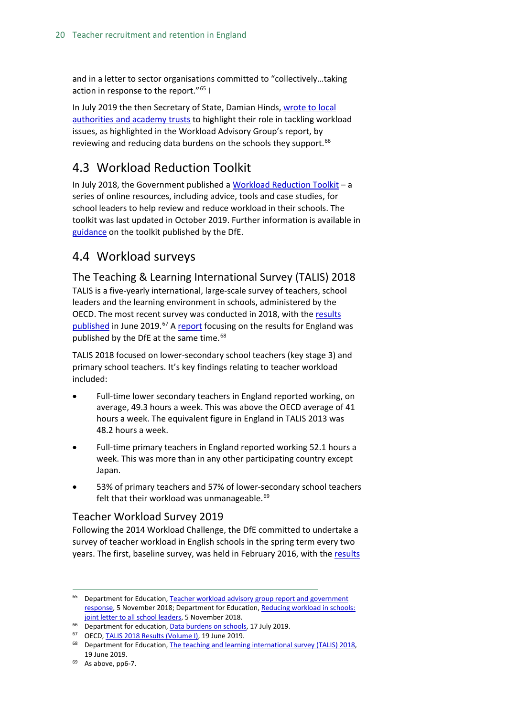and in a letter to sector organisations committed to "collectively…taking action in response to the report."<sup>[65](#page-19-4)</sup> I

In July 2019 the then Secretary of State, Damian Hinds, [wrote to local](https://www.gov.uk/government/publications/data-burdens-on-schools)  [authorities and academy trusts](https://www.gov.uk/government/publications/data-burdens-on-schools) to highlight their role in tackling workload issues, as highlighted in the Workload Advisory Group's report, by reviewing and reducing data burdens on the schools they support.<sup>[66](#page-19-5)</sup>

## <span id="page-19-0"></span>4.3 Workload Reduction Toolkit

In July 2018, the Government published a [Workload Reduction Toolkit](https://www.gov.uk/government/collections/workload-reduction-toolkit?utm_source=83156181-a218-46a6-9c68-3f71940a799e&utm_medium=email&utm_campaign=govuk-notifications&utm_content=immediate) – a series of online resources, including advice, tools and case studies, for school leaders to help review and reduce workload in their schools. The toolkit was last updated in October 2019. Further information is available in [guidance](https://www.gov.uk/guidance/reducing-workload-in-your-school) on the toolkit published by the DfE.

## <span id="page-19-1"></span>4.4 Workload surveys

<span id="page-19-2"></span>The Teaching & Learning International Survey (TALIS) 2018 TALIS is a five-yearly international, large-scale survey of teachers, school leaders and the learning environment in schools, administered by the OECD. The most recent survey was conducted in 2018, with the [results](http://www.oecd.org/education/talis-2018-results-volume-i-1d0bc92a-en.htm)  [published](http://www.oecd.org/education/talis-2018-results-volume-i-1d0bc92a-en.htm) in June 2019.<sup>[67](#page-19-6)</sup> A [report](https://assets.publishing.service.gov.uk/government/uploads/system/uploads/attachment_data/file/809738/TALIS_2018_research_brief.pdf) focusing on the results for England was published by the DfE at the same time.<sup>[68](#page-19-7)</sup>

TALIS 2018 focused on lower-secondary school teachers (key stage 3) and primary school teachers. It's key findings relating to teacher workload included:

- Full-time lower secondary teachers in England reported working, on average, 49.3 hours a week. This was above the OECD average of 41 hours a week. The equivalent figure in England in TALIS 2013 was 48.2 hours a week.
- Full-time primary teachers in England reported working 52.1 hours a week. This was more than in any other participating country except Japan.
- 53% of primary teachers and 57% of lower-secondary school teachers felt that their workload was unmanageable.<sup>[69](#page-19-8)</sup>

### <span id="page-19-3"></span>Teacher Workload Survey 2019

Following the 2014 Workload Challenge, the DfE committed to undertake a survey of teacher workload in English schools in the spring term every two years. The first, baseline survey, was held in February 2016, with the [results](https://hopuk-my.sharepoint.com/personal/fosterda_parliament_uk/Documents/Briefing%20Papers/Teacher%20workload%20survey%202016)

- <span id="page-19-6"></span><span id="page-19-5"></span><sup>66</sup> Department for education[, Data burdens on schools,](https://www.gov.uk/government/publications/data-burdens-on-schools) 17 July 2019.
- <sup>67</sup> OECD[, TALIS 2018 Results \(Volume I\),](http://www.oecd.org/education/talis-2018-results-volume-i-1d0bc92a-en.htm) 19 June 2019.

<span id="page-19-4"></span><sup>&</sup>lt;sup>65</sup> Department for Education, Teacher workload advisory group report and government [response,](https://www.gov.uk/government/publications/teacher-workload-advisory-group-report-and-government-response) 5 November 2018; Department for Education, [Reducing workload in schools:](https://www.gov.uk/government/publications/reducing-workload-in-schools-joint-letter-to-all-school-leaders)  [joint letter to all school leaders,](https://www.gov.uk/government/publications/reducing-workload-in-schools-joint-letter-to-all-school-leaders) 5 November 2018.

<span id="page-19-7"></span><sup>&</sup>lt;sup>68</sup> Department for Education[, The teaching and learning international survey \(TALIS\) 2018,](https://www.gov.uk/government/publications/teachers-in-primary-and-secondary-schools-talis-2018) 19 June 2019.

<span id="page-19-8"></span> $69$  As above, pp6-7.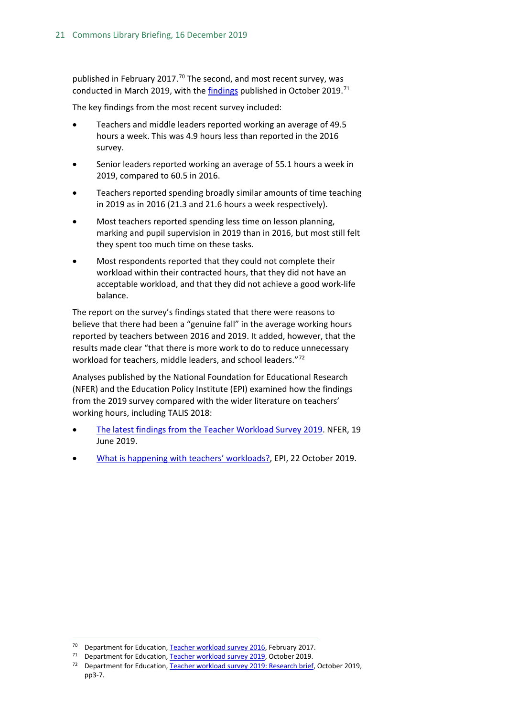published in February 2017.<sup>[70](#page-20-0)</sup> The second, and most recent survey, was conducted in March 2019, with the [findings](https://assets.publishing.service.gov.uk/government/uploads/system/uploads/attachment_data/file/838433/Teacher_workload_survey_2019_brief.pdf) published in October 2019.<sup>[71](#page-20-1)</sup>

The key findings from the most recent survey included:

- Teachers and middle leaders reported working an average of 49.5 hours a week. This was 4.9 hours less than reported in the 2016 survey.
- Senior leaders reported working an average of 55.1 hours a week in 2019, compared to 60.5 in 2016.
- Teachers reported spending broadly similar amounts of time teaching in 2019 as in 2016 (21.3 and 21.6 hours a week respectively).
- Most teachers reported spending less time on lesson planning, marking and pupil supervision in 2019 than in 2016, but most still felt they spent too much time on these tasks.
- Most respondents reported that they could not complete their workload within their contracted hours, that they did not have an acceptable workload, and that they did not achieve a good work-life balance.

The report on the survey's findings stated that there were reasons to believe that there had been a "genuine fall" in the average working hours reported by teachers between 2016 and 2019. It added, however, that the results made clear "that there is more work to do to reduce unnecessary workload for teachers, middle leaders, and school leaders."[72](#page-20-2)

Analyses published by the National Foundation for Educational Research (NFER) and the Education Policy Institute (EPI) examined how the findings from the 2019 survey compared with the wider literature on teachers' working hours, including TALIS 2018:

- [The latest findings from the Teacher Workload Survey 2019.](https://www.nfer.ac.uk/news-events/nfer-blogs/the-latest-findings-from-the-teacher-workload-survey-2019/) NFER, 19 June 2019.
- [What is happening with teachers' workloads?,](https://epi.org.uk/publications-and-research/what-is-happening-with-teachers-workloads/) EPI, 22 October 2019.

<span id="page-20-0"></span> <sup>70</sup> Department for Education[, Teacher workload survey 2016,](https://www.gov.uk/government/publications/teacher-workload-survey-2016) February 2017.

<span id="page-20-2"></span><span id="page-20-1"></span><sup>71</sup> Department for Education[, Teacher workload survey 2019,](https://www.gov.uk/government/publications/teacher-workload-survey-2019) October 2019.

<sup>72</sup> Department for Education[, Teacher workload survey 2019:](https://assets.publishing.service.gov.uk/government/uploads/system/uploads/attachment_data/file/838433/Teacher_workload_survey_2019_brief.pdf) Research brief, October 2019, pp3-7.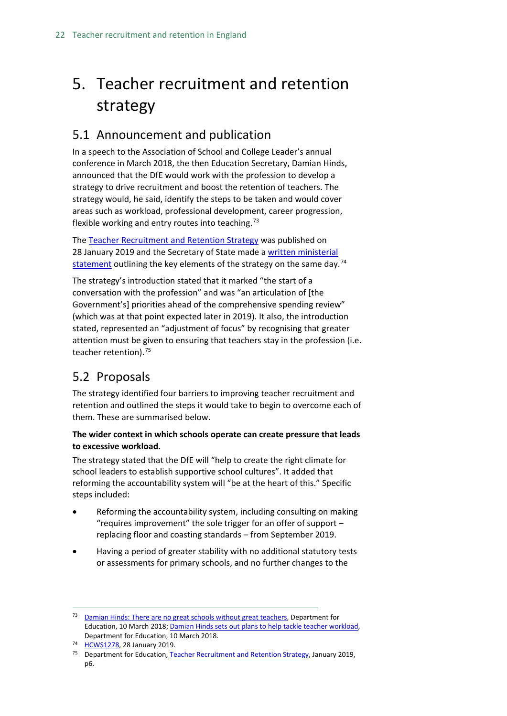## <span id="page-21-0"></span>5. Teacher recruitment and retention strategy

## <span id="page-21-1"></span>5.1 Announcement and publication

In a speech to the Association of School and College Leader's annual conference in March 2018, the then Education Secretary, Damian Hinds, announced that the DfE would work with the profession to develop a strategy to drive recruitment and boost the retention of teachers. The strategy would, he said, identify the steps to be taken and would cover areas such as workload, professional development, career progression, flexible working and entry routes into teaching.<sup>[73](#page-21-3)</sup>

The [Teacher Recruitment and Retention Strategy](https://www.gov.uk/government/publications/teacher-recruitment-and-retention-strategy) was published on 28 January 2019 and the Secretary of State made [a written ministerial](https://www.parliament.uk/business/publications/written-questions-answers-statements/written-statement/Commons/2019-01-28/HCWS1278)  [statement](https://www.parliament.uk/business/publications/written-questions-answers-statements/written-statement/Commons/2019-01-28/HCWS1278) outlining the key elements of the strategy on the same day.<sup>[74](#page-21-4)</sup>

The strategy's introduction stated that it marked "the start of a conversation with the profession" and was "an articulation of [the Government's] priorities ahead of the comprehensive spending review" (which was at that point expected later in 2019). It also, the introduction stated, represented an "adjustment of focus" by recognising that greater attention must be given to ensuring that teachers stay in the profession (i.e. teacher retention).<sup>[75](#page-21-5)</sup>

## <span id="page-21-2"></span>5.2 Proposals

The strategy identified four barriers to improving teacher recruitment and retention and outlined the steps it would take to begin to overcome each of them. These are summarised below.

#### **The wider context in which schools operate can create pressure that leads to excessive workload.**

The strategy stated that the DfE will "help to create the right climate for school leaders to establish supportive school cultures". It added that reforming the accountability system will "be at the heart of this." Specific steps included:

- Reforming the accountability system, including consulting on making "requires improvement" the sole trigger for an offer of support – replacing floor and coasting standards – from September 2019.
- Having a period of greater stability with no additional statutory tests or assessments for primary schools, and no further changes to the

<span id="page-21-3"></span><sup>&</sup>lt;sup>73</sup> [Damian Hinds: There are no great schools without great teachers,](https://www.gov.uk/government/speeches/damian-hinds-there-are-no-great-schools-without-great-teachers) Department for Education, 10 March 2018[; Damian Hinds sets out plans to help tackle teacher workload,](https://www.gov.uk/government/news/damian-hinds-sets-out-plans-to-help-tackle-teacher-workload) Department for Education, 10 March 2018.

<span id="page-21-4"></span>[HCWS1278,](https://www.parliament.uk/business/publications/written-questions-answers-statements/written-statement/Commons/2019-01-28/HCWS1278) 28 January 2019.

<span id="page-21-5"></span><sup>&</sup>lt;sup>75</sup> Department for Education[, Teacher Recruitment and Retention Strategy,](https://assets.publishing.service.gov.uk/government/uploads/system/uploads/attachment_data/file/773930/Teacher_Retention_Strategy_Report.PDF.pdf) January 2019, p6.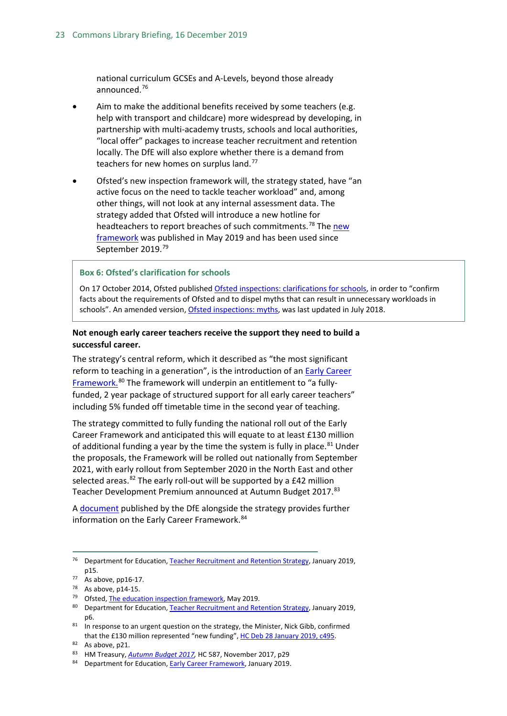national curriculum GCSEs and A-Levels, beyond those already announced.[76](#page-22-0)

- Aim to make the additional benefits received by some teachers (e.g. help with transport and childcare) more widespread by developing, in partnership with multi-academy trusts, schools and local authorities, "local offer" packages to increase teacher recruitment and retention locally. The DfE will also explore whether there is a demand from teachers for new homes on surplus land.<sup>[77](#page-22-1)</sup>
- Ofsted's new inspection framework will, the strategy stated, have "an active focus on the need to tackle teacher workload" and, among other things, will not look at any internal assessment data. The strategy added that Ofsted will introduce a new hotline for headteachers to report breaches of such commitments.<sup>[78](#page-22-2)</sup> The new [framework](https://assets.publishing.service.gov.uk/government/uploads/system/uploads/attachment_data/file/801429/Education_inspection_framework.pdf) was published in May 2019 and has been used since September 2019.<sup>[79](#page-22-3)</sup>

#### **Box 6: Ofsted's clarification for schools**

On 17 October 2014, Ofsted published [Ofsted inspections: clarifications for schools,](https://www.gov.uk/government/uploads/system/uploads/attachment_data/file/463242/Ofsted_inspections_clarification_for_schools.pdf) in order to "confirm facts about the requirements of Ofsted and to dispel myths that can result in unnecessary workloads in schools". An amended version, [Ofsted inspections: myths,](https://www.gov.uk/government/publications/school-inspection-handbook-from-september-2015/ofsted-inspections-mythbusting) was last updated in July 2018.

#### **Not enough early career teachers receive the support they need to build a successful career.**

The strategy's central reform, which it described as "the most significant reform to teaching in a generation", is the introduction of a[n Early Career](https://www.gov.uk/government/publications/supporting-early-career-teachers)  [Framework.](https://www.gov.uk/government/publications/supporting-early-career-teachers)<sup>[80](#page-22-4)</sup> The framework will underpin an entitlement to "a fullyfunded, 2 year package of structured support for all early career teachers" including 5% funded off timetable time in the second year of teaching.

The strategy committed to fully funding the national roll out of the Early Career Framework and anticipated this will equate to at least £130 million of additional funding a year by the time the system is fully in place.<sup>[81](#page-22-5)</sup> Under the proposals, the Framework will be rolled out nationally from September 2021, with early rollout from September 2020 in the North East and other selected areas. $82$  The early roll-out will be supported by a £42 million Teacher Development Premium announced at Autumn Budget 2017.<sup>[83](#page-22-7)</sup>

A [document](https://assets.publishing.service.gov.uk/government/uploads/system/uploads/attachment_data/file/773705/Early-Career_Framework.pdf) published by the DfE alongside the strategy provides further information on the Early Career Framework.<sup>[84](#page-22-8)</sup>

<span id="page-22-0"></span><sup>&</sup>lt;sup>76</sup> Department for Education[, Teacher Recruitment and Retention Strategy,](https://assets.publishing.service.gov.uk/government/uploads/system/uploads/attachment_data/file/773930/Teacher_Retention_Strategy_Report.PDF.pdf) January 2019, p15.

<span id="page-22-1"></span><sup>77</sup> As above, pp16-17.

<span id="page-22-2"></span><sup>78</sup> As above, p14-15.

<span id="page-22-3"></span><sup>&</sup>lt;sup>79</sup> Ofsted[, The education inspection framework,](https://www.gov.uk/government/publications/education-inspection-framework) May 2019.

<span id="page-22-4"></span><sup>80</sup> Department for Education[, Teacher Recruitment and Retention Strategy,](https://assets.publishing.service.gov.uk/government/uploads/system/uploads/attachment_data/file/773930/Teacher_Retention_Strategy_Report.PDF.pdf) January 2019, p6.

<span id="page-22-5"></span> $81$  In response to an urgent question on the strategy, the Minister, Nick Gibb, confirmed that the £130 million represented "new funding"[, HC Deb 28 January 2019, c495.](https://hansard.parliament.uk/Commons/2019-01-28/debates/BE7F2C23-E760-4E2F-BCE5-45828C6DA3DE/TeacherRecruitmentAndRetentionStrategy#contribution-FCE79C55-862F-4FF6-894B-D4EADFB462F6)

<span id="page-22-6"></span> $82$  As above, p21.

<span id="page-22-7"></span><sup>83</sup> HM Treasury, *[Autumn Budget 2017,](https://www.gov.uk/government/uploads/system/uploads/attachment_data/file/661480/autumn_budget_2017_web.pdf)* HC 587, November 2017, p29

<span id="page-22-8"></span><sup>84</sup> Department for Education, **Early Career Framework**, January 2019.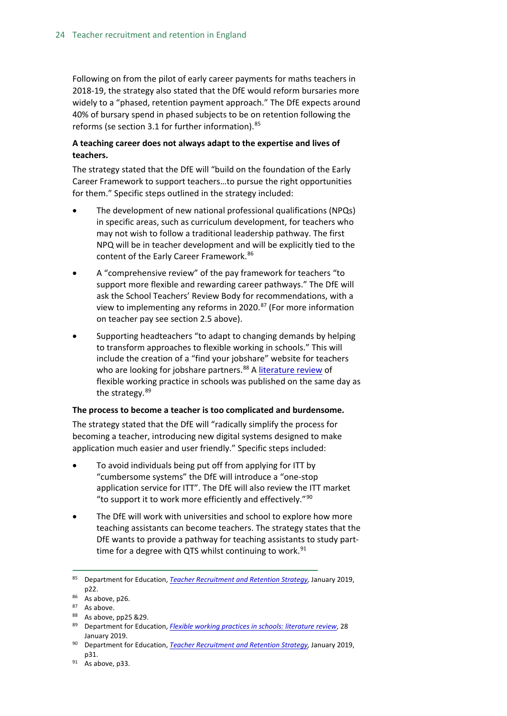Following on from the pilot of early career payments for maths teachers in 2018-19, the strategy also stated that the DfE would reform bursaries more widely to a "phased, retention payment approach." The DfE expects around 40% of bursary spend in phased subjects to be on retention following the reforms (se section 3.1 for further information).<sup>[85](#page-23-0)</sup>

#### **A teaching career does not always adapt to the expertise and lives of teachers.**

The strategy stated that the DfE will "build on the foundation of the Early Career Framework to support teachers…to pursue the right opportunities for them." Specific steps outlined in the strategy included:

- The development of new national professional qualifications (NPQs) in specific areas, such as curriculum development, for teachers who may not wish to follow a traditional leadership pathway. The first NPQ will be in teacher development and will be explicitly tied to the content of the Early Career Framework.<sup>[86](#page-23-1)</sup>
- A "comprehensive review" of the pay framework for teachers "to support more flexible and rewarding career pathways." The DfE will ask the School Teachers' Review Body for recommendations, with a view to implementing any reforms in 2020.<sup>[87](#page-23-2)</sup> (For more information on teacher pay see section 2.5 above).
- Supporting headteachers "to adapt to changing demands by helping to transform approaches to flexible working in schools." This will include the creation of a "find your jobshare" website for teachers who are looking for jobshare partners.<sup>[88](#page-23-3)</sup> A [literature review](https://www.gov.uk/government/publications/flexible-working-practices-in-schools-literature-review) of flexible working practice in schools was published on the same day as the strategy.<sup>[89](#page-23-4)</sup>

#### **The process to become a teacher is too complicated and burdensome.**

The strategy stated that the DfE will "radically simplify the process for becoming a teacher, introducing new digital systems designed to make application much easier and user friendly." Specific steps included:

- To avoid individuals being put off from applying for ITT by "cumbersome systems" the DfE will introduce a "one-stop application service for ITT". The DfE will also review the ITT market "to support it to work more efficiently and effectively." $90$
- The DfE will work with universities and school to explore how more teaching assistants can become teachers. The strategy states that the DfE wants to provide a pathway for teaching assistants to study parttime for a degree with QTS whilst continuing to work. $91$

<span id="page-23-0"></span> <sup>85</sup> Department for Education, *[Teacher Recruitment and Retention Strategy,](https://assets.publishing.service.gov.uk/government/uploads/system/uploads/attachment_data/file/773930/Teacher_Retention_Strategy_Report.PDF.pdf)* January 2019, p22.

<span id="page-23-3"></span><span id="page-23-2"></span>

<span id="page-23-1"></span><sup>&</sup>lt;sup>86</sup> As above, p26.<br><sup>87</sup> As above.<br><sup>88</sup> As above, pp25 &29.

<span id="page-23-4"></span><sup>89</sup> Department for Education, *[Flexible working practices in schools: literature review](https://www.gov.uk/government/publications/flexible-working-practices-in-schools-literature-review)*, 28 January 2019.

<span id="page-23-5"></span><sup>90</sup> Department for Education, *[Teacher Recruitment and Retention Strategy,](https://assets.publishing.service.gov.uk/government/uploads/system/uploads/attachment_data/file/773930/Teacher_Retention_Strategy_Report.PDF.pdf)* January 2019, p31.

<span id="page-23-6"></span> $91$  As above, p33.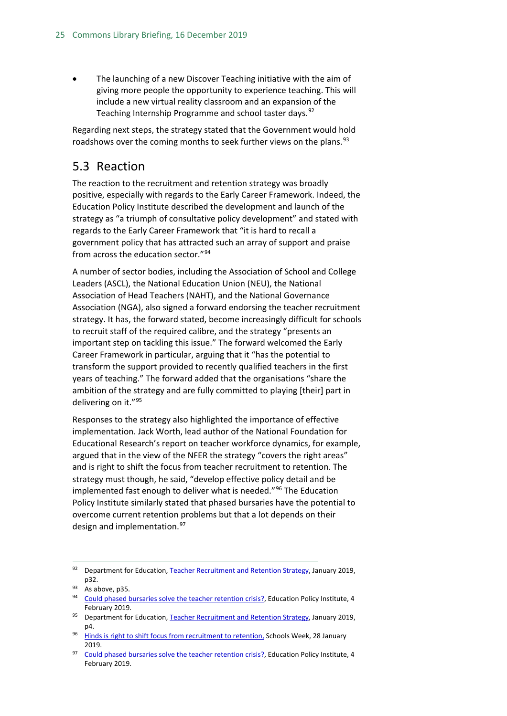• The launching of a new Discover Teaching initiative with the aim of giving more people the opportunity to experience teaching. This will include a new virtual reality classroom and an expansion of the Teaching Internship Programme and school taster days.<sup>[92](#page-24-1)</sup>

Regarding next steps, the strategy stated that the Government would hold roadshows over the coming months to seek further views on the plans.<sup>[93](#page-24-2)</sup>

## <span id="page-24-0"></span>5.3 Reaction

The reaction to the recruitment and retention strategy was broadly positive, especially with regards to the Early Career Framework. Indeed, the Education Policy Institute described the development and launch of the strategy as "a triumph of consultative policy development" and stated with regards to the Early Career Framework that "it is hard to recall a government policy that has attracted such an array of support and praise from across the education sector."[94](#page-24-3)

A number of sector bodies, including the Association of School and College Leaders (ASCL), the National Education Union (NEU), the National Association of Head Teachers (NAHT), and the National Governance Association (NGA), also signed a forward endorsing the teacher recruitment strategy. It has, the forward stated, become increasingly difficult for schools to recruit staff of the required calibre, and the strategy "presents an important step on tackling this issue." The forward welcomed the Early Career Framework in particular, arguing that it "has the potential to transform the support provided to recently qualified teachers in the first years of teaching." The forward added that the organisations "share the ambition of the strategy and are fully committed to playing [their] part in delivering on it."[95](#page-24-4)

Responses to the strategy also highlighted the importance of effective implementation. Jack Worth, lead author of the National Foundation for Educational Research's report on teacher workforce dynamics, for example, argued that in the view of the NFER the strategy "covers the right areas" and is right to shift the focus from teacher recruitment to retention. The strategy must though, he said, "develop effective policy detail and be implemented fast enough to deliver what is needed."<sup>[96](#page-24-5)</sup> The Education Policy Institute similarly stated that phased bursaries have the potential to overcome current retention problems but that a lot depends on their design and implementation.<sup>[97](#page-24-6)</sup>

<span id="page-24-4"></span>95 Department for Education[, Teacher Recruitment and Retention Strategy,](https://assets.publishing.service.gov.uk/government/uploads/system/uploads/attachment_data/file/773930/Teacher_Retention_Strategy_Report.PDF.pdf) January 2019, p4.

<span id="page-24-1"></span><sup>92</sup> Department for Education[, Teacher Recruitment and Retention Strategy,](https://assets.publishing.service.gov.uk/government/uploads/system/uploads/attachment_data/file/773930/Teacher_Retention_Strategy_Report.PDF.pdf) January 2019, p32.<br> $93$  As above, p35.

<span id="page-24-3"></span><span id="page-24-2"></span><sup>&</sup>lt;sup>94</sup> [Could phased bursaries solve the teacher retention crisis?,](https://epi.org.uk/publications-and-research/phased-bursaries-teacher-retention/) Education Policy Institute, 4 February 2019.

<span id="page-24-5"></span><sup>&</sup>lt;sup>96</sup> [Hinds is right to shift focus from recruitment to retention,](https://schoolsweek.co.uk/hinds-is-right-to-shift-focus-from-recruitment-to-retention/) Schools Week, 28 January 2019.

<span id="page-24-6"></span><sup>&</sup>lt;sup>97</sup> [Could phased bursaries solve the teacher retention crisis?,](https://epi.org.uk/publications-and-research/phased-bursaries-teacher-retention/) Education Policy Institute, 4 February 2019.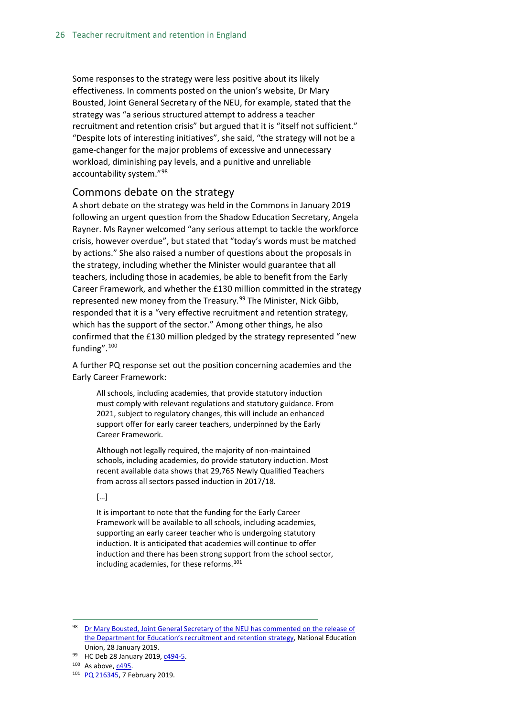Some responses to the strategy were less positive about its likely effectiveness. In comments posted on the union's website, Dr Mary Bousted, Joint General Secretary of the NEU, for example, stated that the strategy was "a serious structured attempt to address a teacher recruitment and retention crisis" but argued that it is "itself not sufficient." "Despite lots of interesting initiatives", she said, "the strategy will not be a game-changer for the major problems of excessive and unnecessary workload, diminishing pay levels, and a punitive and unreliable accountability system."[98](#page-25-1)

#### <span id="page-25-0"></span>Commons debate on the strategy

A short debate on the strategy was held in the Commons in January 2019 following an urgent question from the Shadow Education Secretary, Angela Rayner. Ms Rayner welcomed "any serious attempt to tackle the workforce crisis, however overdue", but stated that "today's words must be matched by actions." She also raised a number of questions about the proposals in the strategy, including whether the Minister would guarantee that all teachers, including those in academies, be able to benefit from the Early Career Framework, and whether the £130 million committed in the strategy represented new money from the Treasury.<sup>[99](#page-25-2)</sup> The Minister, Nick Gibb, responded that it is a "very effective recruitment and retention strategy, which has the support of the sector." Among other things, he also confirmed that the £130 million pledged by the strategy represented "new funding".[100](#page-25-3)

A further PQ response set out the position concerning academies and the Early Career Framework:

All schools, including academies, that provide statutory induction must comply with relevant regulations and statutory guidance. From 2021, subject to regulatory changes, this will include an enhanced support offer for early career teachers, underpinned by the Early Career Framework.

Although not legally required, the majority of non-maintained schools, including academies, do provide statutory induction. Most recent available data shows that 29,765 Newly Qualified Teachers from across all sectors passed induction in 2017/18.

#### […]

It is important to note that the funding for the Early Career Framework will be available to all schools, including academies, supporting an early career teacher who is undergoing statutory induction. It is anticipated that academies will continue to offer induction and there has been strong support from the school sector, including academies, for these reforms.<sup>101</sup>

<span id="page-25-1"></span>98 Dr Mary Bousted, Joint General Secretary of the NEU has commented on the release of [the Department for Education's recruitment and retention strategy,](https://neu.org.uk/latest/teacher-recruitment-and-retention) National Education Union, 28 January 2019.

<span id="page-25-3"></span> $100$  As above,  $c495$ .

<span id="page-25-2"></span><sup>99</sup> HC Deb 28 January 2019[, c494-5.](https://hansard.parliament.uk/Commons/2019-01-28/debates/BE7F2C23-E760-4E2F-BCE5-45828C6DA3DE/TeacherRecruitmentAndRetentionStrategy#contribution-132E4D08-45A6-42B0-9770-A89493540E0A)

<span id="page-25-4"></span><sup>101</sup> [PQ 216345,](https://www.parliament.uk/written-questions-answers-statements/written-question/commons/2019-02-04/216345) 7 February 2019.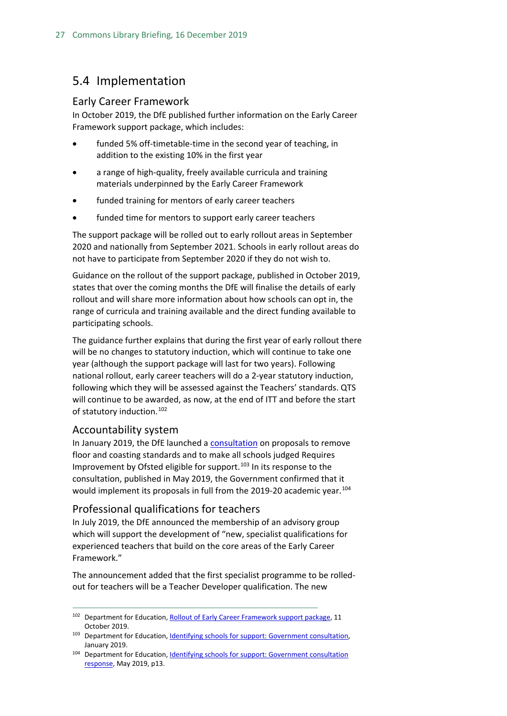## <span id="page-26-0"></span>5.4 Implementation

#### <span id="page-26-1"></span>Early Career Framework

In October 2019, the DfE published further information on the Early Career Framework support package, which includes:

- funded 5% off-timetable-time in the second year of teaching, in addition to the existing 10% in the first year
- a range of high-quality, freely available curricula and training materials underpinned by the Early Career Framework
- funded training for mentors of early career teachers
- funded time for mentors to support early career teachers

The support package will be rolled out to early rollout areas in September 2020 and nationally from September 2021. Schools in early rollout areas do not have to participate from September 2020 if they do not wish to.

Guidance on the rollout of the support package, published in October 2019, states that over the coming months the DfE will finalise the details of early rollout and will share more information about how schools can opt in, the range of curricula and training available and the direct funding available to participating schools.

The guidance further explains that during the first year of early rollout there will be no changes to statutory induction, which will continue to take one year (although the support package will last for two years). Following national rollout, early career teachers will do a 2-year statutory induction, following which they will be assessed against the Teachers' standards. QTS will continue to be awarded, as now, at the end of ITT and before the start of statutory induction.<sup>[102](#page-26-4)</sup>

#### <span id="page-26-2"></span>Accountability system

In January 2019, the DfE launched a [consultation](https://consult.education.gov.uk/inspection-and-accountability-division/identifying-schools-for-improvement-support/supporting_documents/Identifying_Schools_for_Support_Jan_2018_v2.pdf) on proposals to remove floor and coasting standards and to make all schools judged Requires Improvement by Ofsted eligible for support.<sup>[103](#page-26-5)</sup> In its response to the consultation, published in May 2019, the Government confirmed that it would implement its proposals in full from the 2019-20 academic year.<sup>[104](#page-26-6)</sup>

#### <span id="page-26-3"></span>Professional qualifications for teachers

In July 2019, the DfE announced the membership of an advisory group which will support the development of "new, specialist qualifications for experienced teachers that build on the core areas of the Early Career Framework."

The announcement added that the first specialist programme to be rolledout for teachers will be a Teacher Developer qualification. The new

<span id="page-26-4"></span><sup>&</sup>lt;sup>102</sup> Department for Education[, Rollout of Early Career Framework support package,](https://www.gov.uk/government/publications/supporting-early-career-teachers/rollout-of-early-career-framework-support-package) 11 October 2019.

<span id="page-26-5"></span><sup>103</sup> Department for Education[, Identifying schools for support: Government consultation,](https://consult.education.gov.uk/inspection-and-accountability-division/identifying-schools-for-improvement-support/supporting_documents/Identifying_Schools_for_Support_Jan_2018_v2.pdf) January 2019.

<span id="page-26-6"></span><sup>104</sup> Department for Education[, Identifying schools for support: Government consultation](https://assets.publishing.service.gov.uk/government/uploads/system/uploads/attachment_data/file/799482/Identifying_Schools_for_Support_government_response.pdf)  [response,](https://assets.publishing.service.gov.uk/government/uploads/system/uploads/attachment_data/file/799482/Identifying_Schools_for_Support_government_response.pdf) May 2019, p13.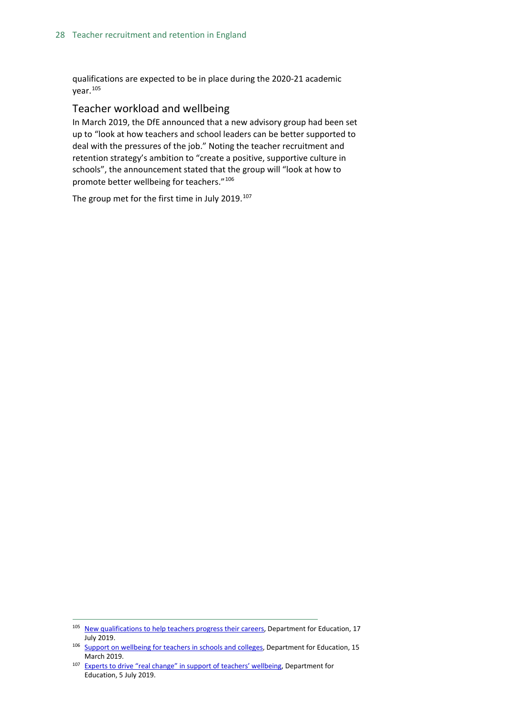qualifications are expected to be in place during the 2020-21 academic year.[105](#page-27-1)

#### <span id="page-27-0"></span>Teacher workload and wellbeing

In March 2019, the DfE announced that a new advisory group had been set up to "look at how teachers and school leaders can be better supported to deal with the pressures of the job." Noting the teacher recruitment and retention strategy's ambition to "create a positive, supportive culture in schools", the announcement stated that the group will "look at how to promote better wellbeing for teachers."[106](#page-27-2)

The group met for the first time in July 2019. $107$ 

<span id="page-27-1"></span><sup>&</sup>lt;sup>105</sup> [New qualifications to help teachers progress their careers,](https://www.gov.uk/government/news/new-qualifications-to-help-teachers-progress-their-careers) Department for Education, 17 July 2019.

<span id="page-27-2"></span><sup>&</sup>lt;sup>106</sup> [Support on wellbeing for teachers in schools and colleges,](https://www.gov.uk/government/news/support-on-wellbeing-for-teachers-in-schools-and-colleges?utm_source=68403e8a-9bc2-4ce4-bd2c-a4531595049e&utm_medium=email&utm_campaign=govuk-notifications&utm_content=immediate) Department for Education, 15 March 2019.

<span id="page-27-3"></span><sup>&</sup>lt;sup>107</sup> [Experts to drive "real change" in support of teachers' wellbeing,](https://www.gov.uk/government/news/experts-to-drive-real-change-in-support-of-teachers-wellbeing) Department for Education, 5 July 2019.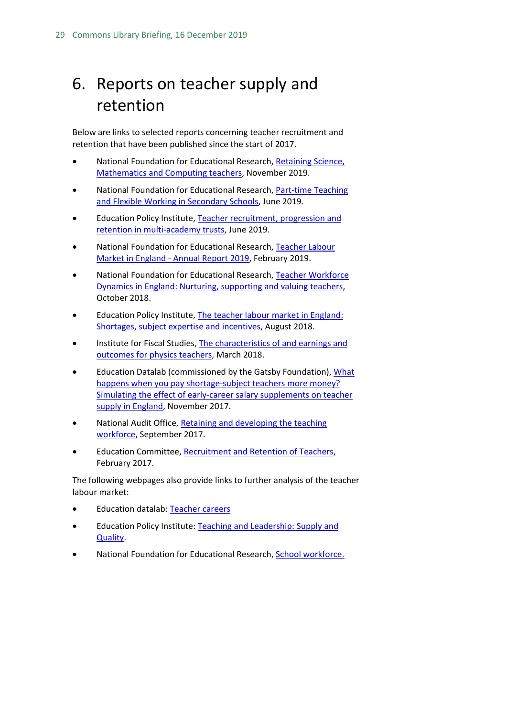## <span id="page-28-0"></span>6. Reports on teacher supply and retention

Below are links to selected reports concerning teacher recruitment and retention that have been published since the start of 2017.

- National Foundation for Educational Research, Retaining Science, [Mathematics and Computing teachers,](https://www.nfer.ac.uk/retaining-science-mathematics-and-computing-teachers/) November 2019.
- National Foundation for Educational Research, Part-time Teaching [and Flexible Working in Secondary Schools,](https://www.nfer.ac.uk/part-time-teaching-and-flexible-working-in-secondary-schools/) June 2019.
- Education Policy Institute, [Teacher recruitment, progression and](https://epi.org.uk/publications-and-research/teacher-recruitment-progression-and-retention-in-multi-academy-trusts/)  [retention in multi-academy trusts,](https://epi.org.uk/publications-and-research/teacher-recruitment-progression-and-retention-in-multi-academy-trusts/) June 2019.
- National Foundation for Educational Research, [Teacher Labour](https://www.nfer.ac.uk/teacher-labour-market-in-england-annual-report-2019/)  Market in England - [Annual Report 2019,](https://www.nfer.ac.uk/teacher-labour-market-in-england-annual-report-2019/) February 2019.
- National Foundation for Educational Research, [Teacher Workforce](https://www.nfer.ac.uk/media/3111/teacher_workforce_dynamics_in_england_final_report.pdf)  [Dynamics in England: Nurturing, supporting and valuing teachers,](https://www.nfer.ac.uk/media/3111/teacher_workforce_dynamics_in_england_final_report.pdf) October 2018.
- Education Policy Institute, [The teacher labour market in England:](https://epi.org.uk/wp-content/uploads/2018/08/EPI-Teacher-Labour-Market_2018.pdf)  [Shortages, subject expertise and incentives,](https://epi.org.uk/wp-content/uploads/2018/08/EPI-Teacher-Labour-Market_2018.pdf) August 2018.
- Institute for Fiscal Studies[, The characteristics of and earnings and](https://www.gatsby.org.uk/uploads/education/ifs-the-characteristics-of-and-earnings-and-outcomes-for-physics-teachers.pdf)  [outcomes for physics teachers,](https://www.gatsby.org.uk/uploads/education/ifs-the-characteristics-of-and-earnings-and-outcomes-for-physics-teachers.pdf) March 2018.
- Education Datalab (commissioned by the Gatsby Foundation), [What](https://www.gatsby.org.uk/uploads/education/datalab-simulating-the-effect-of-early-career-salary-supplements-on-teacher-supply-in-england.pdf)  [happens when you pay shortage-subject teachers more money?](https://www.gatsby.org.uk/uploads/education/datalab-simulating-the-effect-of-early-career-salary-supplements-on-teacher-supply-in-england.pdf)  [Simulating the effect of early-career salary supplements on teacher](https://www.gatsby.org.uk/uploads/education/datalab-simulating-the-effect-of-early-career-salary-supplements-on-teacher-supply-in-england.pdf)  [supply in England,](https://www.gatsby.org.uk/uploads/education/datalab-simulating-the-effect-of-early-career-salary-supplements-on-teacher-supply-in-england.pdf) November 2017.
- National Audit Office, Retaining and developing the teaching [workforce,](https://www.nao.org.uk/press-release/retaining-and-developing-the-teaching-workforce/) September 2017.
- Education Committee, [Recruitment and Retention of Teachers,](https://www.publications.parliament.uk/pa/cm201617/cmselect/cmeduc/199/199.pdf) February 2017.

The following webpages also provide links to further analysis of the teacher labour market:

- Education datalab: [Teacher careers](https://ffteducationdatalab.org.uk/category/teachers/)
- Education Policy Institute: [Teaching and Leadership:](https://epi.org.uk/research-area/teaching-and-leadership-supply-and-quality/) Supply and [Quality.](https://epi.org.uk/research-area/teaching-and-leadership-supply-and-quality/)
- National Foundation for Educational Research, [School workforce.](https://www.nfer.ac.uk/key-topics-expertise/school-workforce/)